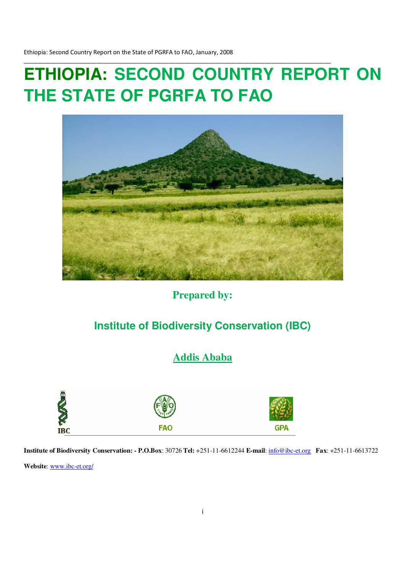# **ETHIOPIA: SECOND COUNTRY REPORT ON THE STATE OF PGRFA TO FAO**

\_\_\_\_\_\_\_\_\_\_\_\_\_\_\_\_\_\_\_\_\_\_\_\_\_\_\_\_\_\_\_\_\_\_\_\_\_\_\_\_\_\_\_\_\_\_\_\_\_\_\_\_\_\_\_\_\_\_\_\_\_\_\_\_\_\_\_\_\_\_\_\_\_\_\_\_\_\_\_\_\_\_\_\_\_\_\_\_\_\_\_\_\_



**Prepared by:** 

## **Institute of Biodiversity Conservation (IBC)**

**Addis Ababa** 



**Institute of Biodiversity Conservation: - P.O.Box**: 30726 **Tel:** +251-11-6612244 **E-mail**: info@ibc-et.org **Fax**: +251-11-6613722

**Website**: www.ibc-et.org/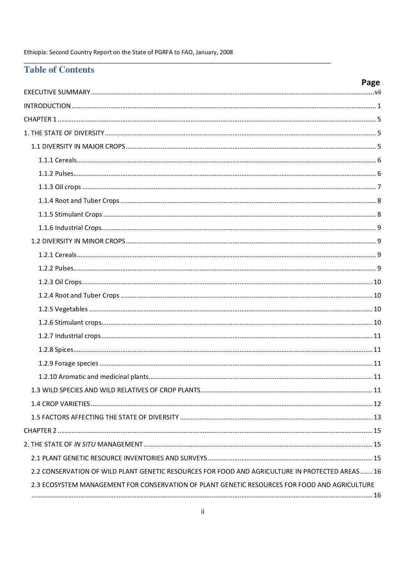## **Table of Contents**

|                                                                                                  | Page |
|--------------------------------------------------------------------------------------------------|------|
|                                                                                                  |      |
|                                                                                                  |      |
|                                                                                                  |      |
|                                                                                                  |      |
|                                                                                                  |      |
|                                                                                                  |      |
|                                                                                                  |      |
|                                                                                                  |      |
|                                                                                                  |      |
|                                                                                                  |      |
|                                                                                                  |      |
|                                                                                                  |      |
|                                                                                                  |      |
|                                                                                                  |      |
|                                                                                                  |      |
|                                                                                                  |      |
|                                                                                                  |      |
|                                                                                                  |      |
|                                                                                                  |      |
|                                                                                                  |      |
|                                                                                                  |      |
|                                                                                                  |      |
|                                                                                                  |      |
|                                                                                                  |      |
|                                                                                                  |      |
|                                                                                                  |      |
|                                                                                                  |      |
|                                                                                                  |      |
| 2.2 CONSERVATION OF WILD PLANT GENETIC RESOURCES FOR FOOD AND AGRICULTURE IN PROTECTED AREAS  16 |      |
| 2.3 ECOSYSTEM MANAGEMENT FOR CONSERVATION OF PLANT GENETIC RESOURCES FOR FOOD AND AGRICULTURE    |      |
|                                                                                                  |      |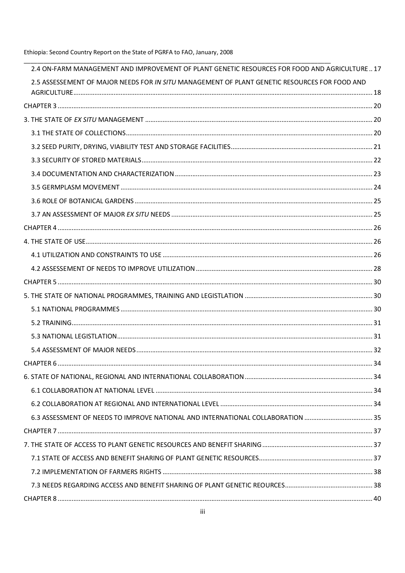| 2.4 ON-FARM MANAGEMENT AND IMPROVEMENT OF PLANT GENETIC RESOURCES FOR FOOD AND AGRICULTURE 17 |  |
|-----------------------------------------------------------------------------------------------|--|
| 2.5 ASSESSEMENT OF MAJOR NEEDS FOR IN SITU MANAGEMENT OF PLANT GENETIC RESOURCES FOR FOOD AND |  |
|                                                                                               |  |
|                                                                                               |  |
|                                                                                               |  |
|                                                                                               |  |
|                                                                                               |  |
|                                                                                               |  |
|                                                                                               |  |
|                                                                                               |  |
|                                                                                               |  |
|                                                                                               |  |
|                                                                                               |  |
|                                                                                               |  |
|                                                                                               |  |
|                                                                                               |  |
|                                                                                               |  |
|                                                                                               |  |
|                                                                                               |  |
|                                                                                               |  |
|                                                                                               |  |
|                                                                                               |  |
|                                                                                               |  |
|                                                                                               |  |
|                                                                                               |  |
|                                                                                               |  |
|                                                                                               |  |
|                                                                                               |  |
|                                                                                               |  |
|                                                                                               |  |
|                                                                                               |  |
|                                                                                               |  |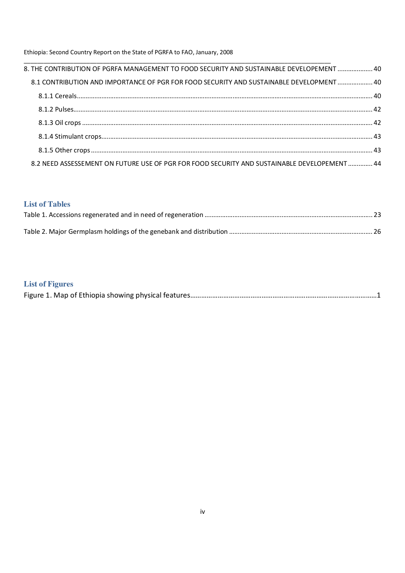| 8.1 CONTRIBUTION AND IMPORTANCE OF PGR FOR FOOD SECURITY AND SUSTAINABLE DEVELOPMENT  40     |  |
|----------------------------------------------------------------------------------------------|--|
|                                                                                              |  |
|                                                                                              |  |
|                                                                                              |  |
|                                                                                              |  |
|                                                                                              |  |
| 8.2 NEED ASSESSEMENT ON FUTURE USE OF PGR FOR FOOD SECURITY AND SUSTAINABLE DEVELOPEMENT  44 |  |

## **List of Tables**

## **List of Figures**

|--|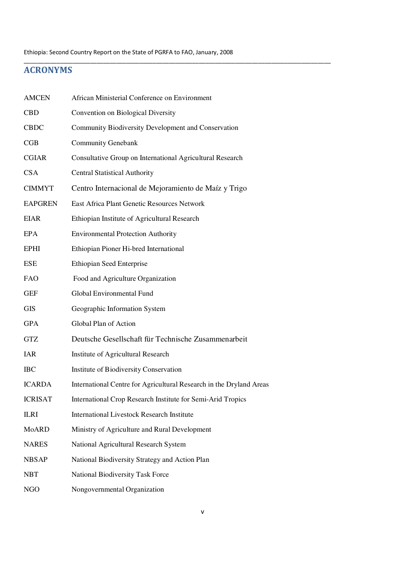\_\_\_\_\_\_\_\_\_\_\_\_\_\_\_\_\_\_\_\_\_\_\_\_\_\_\_\_\_\_\_\_\_\_\_\_\_\_\_\_\_\_\_\_\_\_\_\_\_\_\_\_\_\_\_\_\_\_\_\_\_\_\_\_\_\_\_\_\_\_\_\_\_\_\_\_\_\_\_\_\_\_\_\_\_\_\_\_\_\_\_\_\_

## ACRONYMS

| <b>AMCEN</b>   | African Ministerial Conference on Environment                       |  |  |
|----------------|---------------------------------------------------------------------|--|--|
| <b>CBD</b>     | Convention on Biological Diversity                                  |  |  |
| <b>CBDC</b>    | Community Biodiversity Development and Conservation                 |  |  |
| CGB            | <b>Community Genebank</b>                                           |  |  |
| <b>CGIAR</b>   | Consultative Group on International Agricultural Research           |  |  |
| <b>CSA</b>     | <b>Central Statistical Authority</b>                                |  |  |
| <b>CIMMYT</b>  | Centro Internacional de Mejoramiento de Maíz y Trigo                |  |  |
| <b>EAPGREN</b> | East Africa Plant Genetic Resources Network                         |  |  |
| <b>EIAR</b>    | Ethiopian Institute of Agricultural Research                        |  |  |
| EPA            | <b>Environmental Protection Authority</b>                           |  |  |
| <b>EPHI</b>    | Ethiopian Pioner Hi-bred International                              |  |  |
| <b>ESE</b>     | <b>Ethiopian Seed Enterprise</b>                                    |  |  |
| <b>FAO</b>     | Food and Agriculture Organization                                   |  |  |
| <b>GEF</b>     | Global Environmental Fund                                           |  |  |
| <b>GIS</b>     | Geographic Information System                                       |  |  |
| <b>GPA</b>     | Global Plan of Action                                               |  |  |
| <b>GTZ</b>     | Deutsche Gesellschaft für Technische Zusammenarbeit                 |  |  |
| IAR            | Institute of Agricultural Research                                  |  |  |
| <b>IBC</b>     | Institute of Biodiversity Conservation                              |  |  |
| <b>ICARDA</b>  | International Centre for Agricultural Research in the Dryland Areas |  |  |
| <b>ICRISAT</b> | International Crop Research Institute for Semi-Arid Tropics         |  |  |
| <b>ILRI</b>    | <b>International Livestock Research Institute</b>                   |  |  |
| MoARD          | Ministry of Agriculture and Rural Development                       |  |  |
| <b>NARES</b>   | National Agricultural Research System                               |  |  |
| <b>NBSAP</b>   | National Biodiversity Strategy and Action Plan                      |  |  |
| <b>NBT</b>     | National Biodiversity Task Force                                    |  |  |
| NGO            | Nongovernmental Organization                                        |  |  |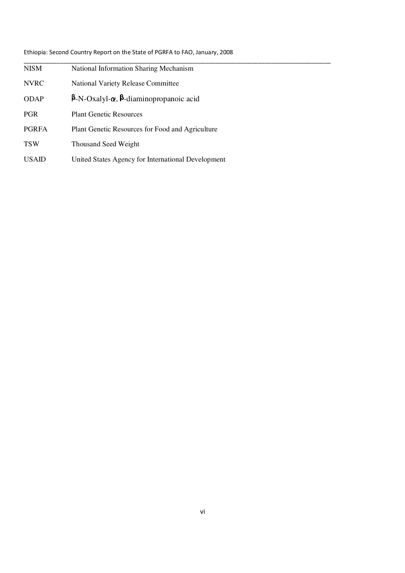| <b>NISM</b>  | National Information Sharing Mechanism                       |
|--------------|--------------------------------------------------------------|
| <b>NVRC</b>  | <b>National Variety Release Committee</b>                    |
| <b>ODAP</b>  | $\beta$ -N-Oxalyl- $\alpha$ , $\beta$ -diaminopropanoic acid |
| <b>PGR</b>   | <b>Plant Genetic Resources</b>                               |
| <b>PGRFA</b> | Plant Genetic Resources for Food and Agriculture             |
| <b>TSW</b>   | <b>Thousand Seed Weight</b>                                  |
| <b>USAID</b> | United States Agency for International Development           |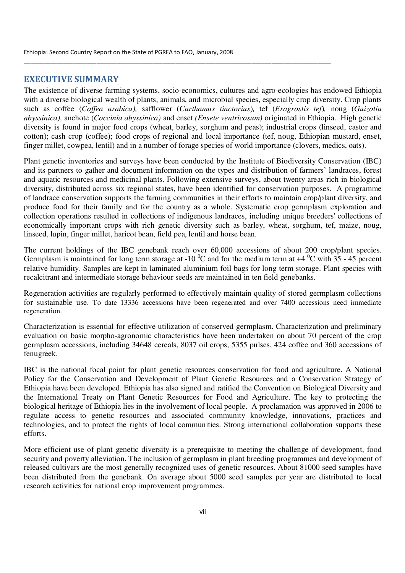## EXECUTIVE SUMMARY

The existence of diverse farming systems, socio-economics, cultures and agro-ecologies has endowed Ethiopia with a diverse biological wealth of plants, animals, and microbial species, especially crop diversity. Crop plants such as coffee (*Coffea arabica),* safflower (*Carthamus tinctorius*)*,* tef (*Eragrostis tef*)*,* noug (*Guizotia abyssinica),* anchote (*Coccinia abyssinica)* and enset *(Ensete ventricosum)* originated in Ethiopia. High genetic diversity is found in major food crops (wheat, barley, sorghum and peas); industrial crops (linseed, castor and cotton); cash crop (coffee); food crops of regional and local importance (tef, noug, Ethiopian mustard, enset, finger millet, cowpea, lentil) and in a number of forage species of world importance (clovers, medics, oats).

\_\_\_\_\_\_\_\_\_\_\_\_\_\_\_\_\_\_\_\_\_\_\_\_\_\_\_\_\_\_\_\_\_\_\_\_\_\_\_\_\_\_\_\_\_\_\_\_\_\_\_\_\_\_\_\_\_\_\_\_\_\_\_\_\_\_\_\_\_\_\_\_\_\_\_\_\_\_\_\_\_\_\_\_\_\_\_\_\_\_\_\_\_

Plant genetic inventories and surveys have been conducted by the Institute of Biodiversity Conservation (IBC) and its partners to gather and document information on the types and distribution of farmers' landraces, forest and aquatic resources and medicinal plants. Following extensive surveys, about twenty areas rich in biological diversity, distributed across six regional states, have been identified for conservation purposes. A programme of landrace conservation supports the farming communities in their efforts to maintain crop/plant diversity, and produce food for their family and for the country as a whole. Systematic crop germplasm exploration and collection operations resulted in collections of indigenous landraces, including unique breeders' collections of economically important crops with rich genetic diversity such as barley, wheat, sorghum, tef, maize, noug, linseed, lupin, finger millet, haricot bean, field pea, lentil and horse bean.

The current holdings of the IBC genebank reach over 60,000 accessions of about 200 crop/plant species. Germplasm is maintained for long term storage at -10  $^{\circ}$ C and for the medium term at +4  $^{\circ}$ C with  $35$  - 45 percent relative humidity. Samples are kept in laminated aluminium foil bags for long term storage. Plant species with recalcitrant and intermediate storage behaviour seeds are maintained in ten field genebanks.

Regeneration activities are regularly performed to effectively maintain quality of stored germplasm collections for sustainable use. To date 13336 accessions have been regenerated and over 7400 accessions need immediate regeneration.

Characterization is essential for effective utilization of conserved germplasm. Characterization and preliminary evaluation on basic morpho-agronomic characteristics have been undertaken on about 70 percent of the crop germplasm accessions, including 34648 cereals, 8037 oil crops, 5355 pulses, 424 coffee and 360 accessions of fenugreek.

IBC is the national focal point for plant genetic resources conservation for food and agriculture. A National Policy for the Conservation and Development of Plant Genetic Resources and a Conservation Strategy of Ethiopia have been developed. Ethiopia has also signed and ratified the Convention on Biological Diversity and the International Treaty on Plant Genetic Resources for Food and Agriculture. The key to protecting the biological heritage of Ethiopia lies in the involvement of local people. A proclamation was approved in 2006 to regulate access to genetic resources and associated community knowledge, innovations, practices and technologies, and to protect the rights of local communities. Strong international collaboration supports these efforts.

More efficient use of plant genetic diversity is a prerequisite to meeting the challenge of development, food security and poverty alleviation. The inclusion of germplasm in plant breeding programmes and development of released cultivars are the most generally recognized uses of genetic resources. About 81000 seed samples have been distributed from the genebank. On average about 5000 seed samples per year are distributed to local research activities for national crop improvement programmes.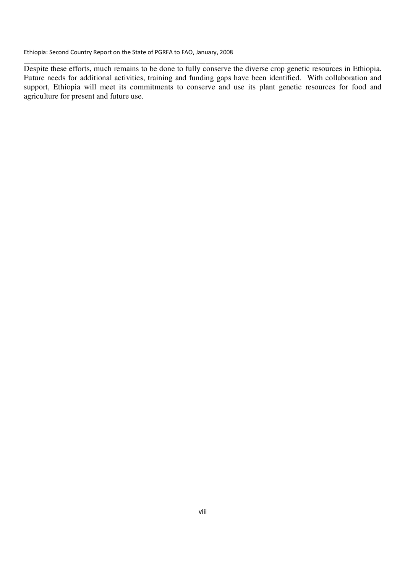Despite these efforts, much remains to be done to fully conserve the diverse crop genetic resources in Ethiopia. Future needs for additional activities, training and funding gaps have been identified. With collaboration and support, Ethiopia will meet its commitments to conserve and use its plant genetic resources for food and agriculture for present and future use.

\_\_\_\_\_\_\_\_\_\_\_\_\_\_\_\_\_\_\_\_\_\_\_\_\_\_\_\_\_\_\_\_\_\_\_\_\_\_\_\_\_\_\_\_\_\_\_\_\_\_\_\_\_\_\_\_\_\_\_\_\_\_\_\_\_\_\_\_\_\_\_\_\_\_\_\_\_\_\_\_\_\_\_\_\_\_\_\_\_\_\_\_\_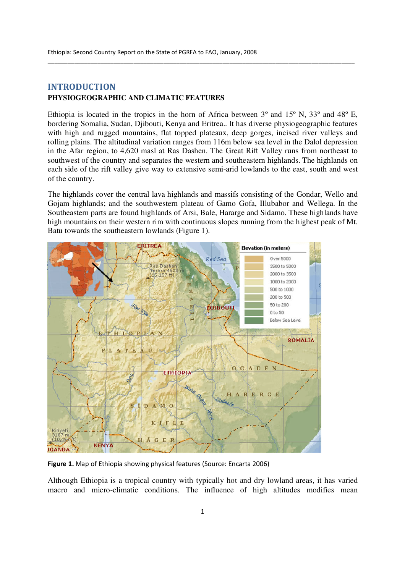## INTRODUCTION **PHYSIOGEOGRAPHIC AND CLIMATIC FEATURES**

Ethiopia is located in the tropics in the horn of Africa between 3º and 15º N, 33º and 48º E, bordering Somalia, Sudan, Diibouti, Kenya and Eritrea.. It has diverse physiogeographic features with high and rugged mountains, flat topped plateaux, deep gorges, incised river valleys and rolling plains. The altitudinal variation ranges from 116m below sea level in the Dalol depression in the Afar region, to 4,620 masl at Ras Dashen. The Great Rift Valley runs from northeast to southwest of the country and separates the western and southeastern highlands. The highlands on each side of the rift valley give way to extensive semi-arid lowlands to the east, south and west of the country.

\_\_\_\_\_\_\_\_\_\_\_\_\_\_\_\_\_\_\_\_\_\_\_\_\_\_\_\_\_\_\_\_\_\_\_\_\_\_\_\_\_\_\_\_\_\_\_\_\_\_\_\_\_\_\_\_\_\_\_\_\_\_\_\_\_\_\_\_\_\_\_\_\_\_\_\_\_\_\_\_\_\_\_\_\_\_\_\_\_\_\_\_\_

The highlands cover the central lava highlands and massifs consisting of the Gondar, Wello and Gojam highlands; and the southwestern plateau of Gamo Gofa, Illubabor and Wellega. In the Southeastern parts are found highlands of Arsi, Bale, Hararge and Sidamo. These highlands have high mountains on their western rim with continuous slopes running from the highest peak of Mt. Batu towards the southeastern lowlands (Figure 1).



Figure 1. Map of Ethiopia showing physical features (Source: Encarta 2006)

Although Ethiopia is a tropical country with typically hot and dry lowland areas, it has varied macro and micro-climatic conditions. The influence of high altitudes modifies mean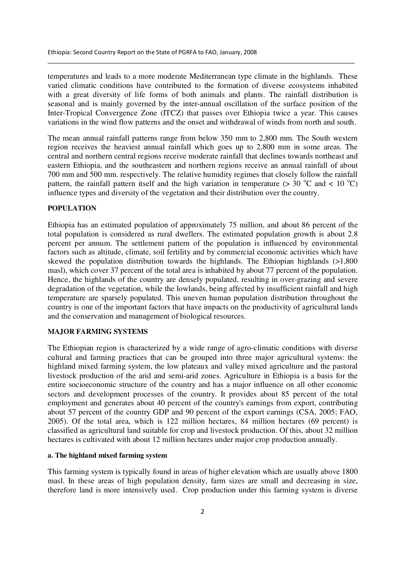temperatures and leads to a more moderate Mediterranean type climate in the highlands. These varied climatic conditions have contributed to the formation of diverse ecosystems inhabited with a great diversity of life forms of both animals and plants. The rainfall distribution is seasonal and is mainly governed by the inter-annual oscillation of the surface position of the Inter-Tropical Convergence Zone (ITCZ) that passes over Ethiopia twice a year. This causes variations in the wind flow patterns and the onset and withdrawal of winds from north and south.

\_\_\_\_\_\_\_\_\_\_\_\_\_\_\_\_\_\_\_\_\_\_\_\_\_\_\_\_\_\_\_\_\_\_\_\_\_\_\_\_\_\_\_\_\_\_\_\_\_\_\_\_\_\_\_\_\_\_\_\_\_\_\_\_\_\_\_\_\_\_\_\_\_\_\_\_\_\_\_\_\_\_\_\_\_\_\_\_\_\_\_\_\_

The mean annual rainfall patterns range from below 350 mm to 2,800 mm. The South western region receives the heaviest annual rainfall which goes up to 2,800 mm in some areas. The central and northern central regions receive moderate rainfall that declines towards northeast and eastern Ethiopia, and the southeastern and northern regions receive an annual rainfall of about 700 mm and 500 mm. respectively. The relative humidity regimes that closely follow the rainfall pattern, the rainfall pattern itself and the high variation in temperature ( $> 30$  °C and  $< 10$  °C) influence types and diversity of the vegetation and their distribution over the country.

#### **POPULATION**

Ethiopia has an estimated population of approximately 75 million, and about 86 percent of the total population is considered as rural dwellers. The estimated population growth is about 2.8 percent per annum. The settlement pattern of the population is influenced by environmental factors such as altitude, climate, soil fertility and by commercial economic activities which have skewed the population distribution towards the highlands. The Ethiopian highlands (>1,800 masl), which cover 37 percent of the total area is inhabited by about 77 percent of the population. Hence, the highlands of the country are densely populated, resulting in over-grazing and severe degradation of the vegetation, while the lowlands, being affected by insufficient rainfall and high temperature are sparsely populated. This uneven human population distribution throughout the country is one of the important factors that have impacts on the productivity of agricultural lands and the conservation and management of biological resources.

#### **MAJOR FARMING SYSTEMS**

The Ethiopian region is characterized by a wide range of agro-climatic conditions with diverse cultural and farming practices that can be grouped into three major agricultural systems: the highland mixed farming system, the low plateaux and valley mixed agriculture and the pastoral livestock production of the arid and semi-arid zones. Agriculture in Ethiopia is a basis for the entire socioeconomic structure of the country and has a major influence on all other economic sectors and development processes of the country. It provides about 85 percent of the total employment and generates about 40 percent of the country's earnings from export, contributing about 57 percent of the country GDP and 90 percent of the export earnings (CSA, 2005; FAO, 2005). Of the total area, which is 122 million hectares, 84 million hectares (69 percent) is classified as agricultural land suitable for crop and livestock production. Of this, about 32 million hectares is cultivated with about 12 million hectares under major crop production annually.

#### **a. The highland mixed farming system**

This farming system is typically found in areas of higher elevation which are usually above 1800 masl. In these areas of high population density, farm sizes are small and decreasing in size, therefore land is more intensively used. Crop production under this farming system is diverse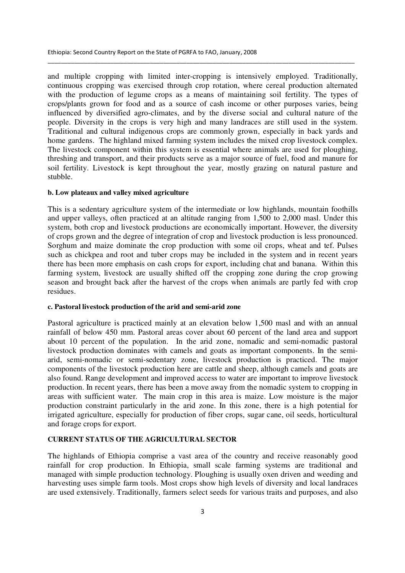and multiple cropping with limited inter-cropping is intensively employed. Traditionally, continuous cropping was exercised through crop rotation, where cereal production alternated with the production of legume crops as a means of maintaining soil fertility. The types of crops/plants grown for food and as a source of cash income or other purposes varies, being influenced by diversified agro-climates, and by the diverse social and cultural nature of the people. Diversity in the crops is very high and many landraces are still used in the system. Traditional and cultural indigenous crops are commonly grown, especially in back yards and home gardens. The highland mixed farming system includes the mixed crop livestock complex. The livestock component within this system is essential where animals are used for ploughing, threshing and transport, and their products serve as a major source of fuel, food and manure for soil fertility. Livestock is kept throughout the year, mostly grazing on natural pasture and stubble.

\_\_\_\_\_\_\_\_\_\_\_\_\_\_\_\_\_\_\_\_\_\_\_\_\_\_\_\_\_\_\_\_\_\_\_\_\_\_\_\_\_\_\_\_\_\_\_\_\_\_\_\_\_\_\_\_\_\_\_\_\_\_\_\_\_\_\_\_\_\_\_\_\_\_\_\_\_\_\_\_\_\_\_\_\_\_\_\_\_\_\_\_\_

#### **b. Low plateaux and valley mixed agriculture**

This is a sedentary agriculture system of the intermediate or low highlands, mountain foothills and upper valleys, often practiced at an altitude ranging from 1,500 to 2,000 masl. Under this system, both crop and livestock productions are economically important. However, the diversity of crops grown and the degree of integration of crop and livestock production is less pronounced. Sorghum and maize dominate the crop production with some oil crops, wheat and tef. Pulses such as chickpea and root and tuber crops may be included in the system and in recent years there has been more emphasis on cash crops for export, including chat and banana. Within this farming system, livestock are usually shifted off the cropping zone during the crop growing season and brought back after the harvest of the crops when animals are partly fed with crop residues.

#### **c. Pastoral livestock production of the arid and semi-arid zone**

Pastoral agriculture is practiced mainly at an elevation below 1,500 masl and with an annual rainfall of below 450 mm. Pastoral areas cover about 60 percent of the land area and support about 10 percent of the population. In the arid zone, nomadic and semi-nomadic pastoral livestock production dominates with camels and goats as important components. In the semiarid, semi-nomadic or semi-sedentary zone, livestock production is practiced. The major components of the livestock production here are cattle and sheep, although camels and goats are also found. Range development and improved access to water are important to improve livestock production. In recent years, there has been a move away from the nomadic system to cropping in areas with sufficient water. The main crop in this area is maize. Low moisture is the major production constraint particularly in the arid zone. In this zone, there is a high potential for irrigated agriculture, especially for production of fiber crops, sugar cane, oil seeds, horticultural and forage crops for export.

## **CURRENT STATUS OF THE AGRICULTURAL SECTOR**

The highlands of Ethiopia comprise a vast area of the country and receive reasonably good rainfall for crop production. In Ethiopia, small scale farming systems are traditional and managed with simple production technology. Ploughing is usually oxen driven and weeding and harvesting uses simple farm tools. Most crops show high levels of diversity and local landraces are used extensively. Traditionally, farmers select seeds for various traits and purposes, and also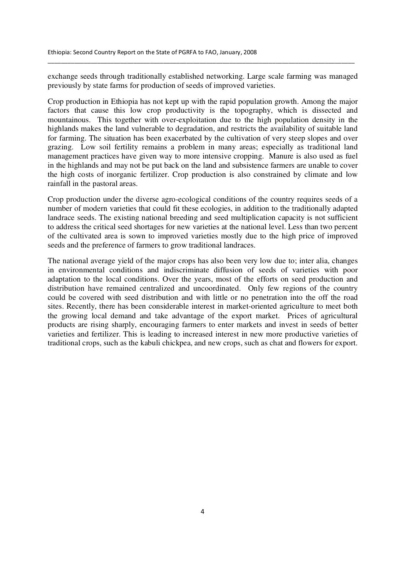exchange seeds through traditionally established networking. Large scale farming was managed previously by state farms for production of seeds of improved varieties.

\_\_\_\_\_\_\_\_\_\_\_\_\_\_\_\_\_\_\_\_\_\_\_\_\_\_\_\_\_\_\_\_\_\_\_\_\_\_\_\_\_\_\_\_\_\_\_\_\_\_\_\_\_\_\_\_\_\_\_\_\_\_\_\_\_\_\_\_\_\_\_\_\_\_\_\_\_\_\_\_\_\_\_\_\_\_\_\_\_\_\_\_\_

Crop production in Ethiopia has not kept up with the rapid population growth. Among the major factors that cause this low crop productivity is the topography, which is dissected and mountainous. This together with over-exploitation due to the high population density in the highlands makes the land vulnerable to degradation, and restricts the availability of suitable land for farming. The situation has been exacerbated by the cultivation of very steep slopes and over grazing. Low soil fertility remains a problem in many areas; especially as traditional land management practices have given way to more intensive cropping. Manure is also used as fuel in the highlands and may not be put back on the land and subsistence farmers are unable to cover the high costs of inorganic fertilizer. Crop production is also constrained by climate and low rainfall in the pastoral areas.

Crop production under the diverse agro-ecological conditions of the country requires seeds of a number of modern varieties that could fit these ecologies, in addition to the traditionally adapted landrace seeds. The existing national breeding and seed multiplication capacity is not sufficient to address the critical seed shortages for new varieties at the national level. Less than two percent of the cultivated area is sown to improved varieties mostly due to the high price of improved seeds and the preference of farmers to grow traditional landraces.

The national average yield of the major crops has also been very low due to; inter alia, changes in environmental conditions and indiscriminate diffusion of seeds of varieties with poor adaptation to the local conditions. Over the years, most of the efforts on seed production and distribution have remained centralized and uncoordinated. Only few regions of the country could be covered with seed distribution and with little or no penetration into the off the road sites. Recently, there has been considerable interest in market-oriented agriculture to meet both the growing local demand and take advantage of the export market. Prices of agricultural products are rising sharply, encouraging farmers to enter markets and invest in seeds of better varieties and fertilizer. This is leading to increased interest in new more productive varieties of traditional crops, such as the kabuli chickpea, and new crops, such as chat and flowers for export.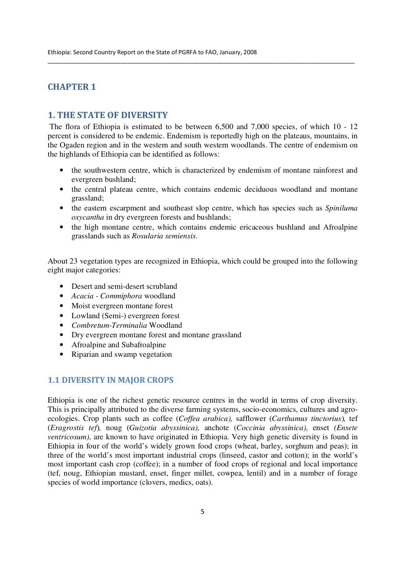## CHAPTER 1

## 1. THE STATE OF DIVERSITY

 The flora of Ethiopia is estimated to be between 6,500 and 7,000 species, of which 10 - 12 percent is considered to be endemic. Endemism is reportedly high on the plateaus, mountains, in the Ogaden region and in the western and south western woodlands. The centre of endemism on the highlands of Ethiopia can be identified as follows:

\_\_\_\_\_\_\_\_\_\_\_\_\_\_\_\_\_\_\_\_\_\_\_\_\_\_\_\_\_\_\_\_\_\_\_\_\_\_\_\_\_\_\_\_\_\_\_\_\_\_\_\_\_\_\_\_\_\_\_\_\_\_\_\_\_\_\_\_\_\_\_\_\_\_\_\_\_\_\_\_\_\_\_\_\_\_\_\_\_\_\_\_\_

- the southwestern centre, which is characterized by endemism of montane rainforest and evergreen bushland;
- the central plateau centre, which contains endemic deciduous woodland and montane grassland;
- the eastern escarpment and southeast slop centre, which has species such as *Spiniluma oxycantha* in dry evergreen forests and bushlands;
- the high montane centre, which contains endemic ericaceous bushland and Afroalpine grasslands such as *Rosularia semiensis*.

About 23 vegetation types are recognized in Ethiopia, which could be grouped into the following eight major categories:

- Desert and semi-desert scrubland
- *Acacia - Commiphora* woodland
- Moist evergreen montane forest
- Lowland (Semi-) evergreen forest
- *Combretum-Terminalia* Woodland
- Dry evergreen montane forest and montane grassland
- Afroalpine and Subafroalpine
- Riparian and swamp vegetation

## 1.1 DIVERSITY IN MAJOR CROPS

Ethiopia is one of the richest genetic resource centres in the world in terms of crop diversity. This is principally attributed to the diverse farming systems, socio-economics, cultures and agroecologies. Crop plants such as coffee (*Coffea arabica),* safflower (*Carthamus tinctorius*)*,* tef (*Eragrostis tef*)*,* noug (*Guizotia abyssinica),* anchote (*Coccinia abyssinica),* enset *(Ensete ventricosum*), are known to have originated in Ethiopia. Very high genetic diversity is found in Ethiopia in four of the world's widely grown food crops (wheat, barley, sorghum and peas); in three of the world's most important industrial crops (linseed, castor and cotton); in the world's most important cash crop (coffee); in a number of food crops of regional and local importance (tef, noug, Ethiopian mustard, enset, finger millet, cowpea, lentil) and in a number of forage species of world importance (clovers, medics, oats).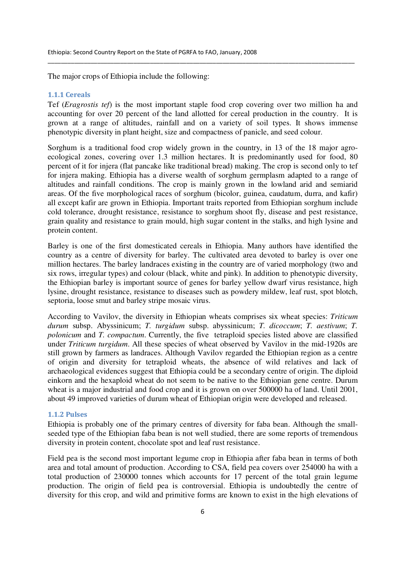The major crops of Ethiopia include the following:

#### 1.1.1 Cereals

Tef (*Eragrostis tef*) is the most important staple food crop covering over two million ha and accounting for over 20 percent of the land allotted for cereal production in the country. It is grown at a range of altitudes, rainfall and on a variety of soil types. It shows immense phenotypic diversity in plant height, size and compactness of panicle, and seed colour.

\_\_\_\_\_\_\_\_\_\_\_\_\_\_\_\_\_\_\_\_\_\_\_\_\_\_\_\_\_\_\_\_\_\_\_\_\_\_\_\_\_\_\_\_\_\_\_\_\_\_\_\_\_\_\_\_\_\_\_\_\_\_\_\_\_\_\_\_\_\_\_\_\_\_\_\_\_\_\_\_\_\_\_\_\_\_\_\_\_\_\_\_\_

Sorghum is a traditional food crop widely grown in the country, in 13 of the 18 major agroecological zones, covering over 1.3 million hectares. It is predominantly used for food, 80 percent of it for injera (flat pancake like traditional bread) making. The crop is second only to tef for injera making. Ethiopia has a diverse wealth of sorghum germplasm adapted to a range of altitudes and rainfall conditions. The crop is mainly grown in the lowland arid and semiarid areas. Of the five morphological races of sorghum (bicolor, guinea, caudatum, durra, and kafir) all except kafir are grown in Ethiopia. Important traits reported from Ethiopian sorghum include cold tolerance, drought resistance, resistance to sorghum shoot fly, disease and pest resistance, grain quality and resistance to grain mould, high sugar content in the stalks, and high lysine and protein content.

Barley is one of the first domesticated cereals in Ethiopia. Many authors have identified the country as a centre of diversity for barley. The cultivated area devoted to barley is over one million hectares. The barley landraces existing in the country are of varied morphology (two and six rows, irregular types) and colour (black, white and pink). In addition to phenotypic diversity, the Ethiopian barley is important source of genes for barley yellow dwarf virus resistance, high lysine, drought resistance, resistance to diseases such as powdery mildew, leaf rust, spot blotch, septoria, loose smut and barley stripe mosaic virus.

According to Vavilov, the diversity in Ethiopian wheats comprises six wheat species: *Triticum durum* subsp. Abyssinicum; *T. turgidum* subsp. abyssinicum; *T. dicoccum*; *T. aestivum*; *T. polonicum* and *T. compactum*. Currently, the five tetraploid species listed above are classified under *Triticum turgidum*. All these species of wheat observed by Vavilov in the mid-1920s are still grown by farmers as landraces. Although Vavilov regarded the Ethiopian region as a centre of origin and diversity for tetraploid wheats, the absence of wild relatives and lack of archaeological evidences suggest that Ethiopia could be a secondary centre of origin. The diploid einkorn and the hexaploid wheat do not seem to be native to the Ethiopian gene centre. Durum wheat is a major industrial and food crop and it is grown on over 500000 ha of land. Until 2001, about 49 improved varieties of durum wheat of Ethiopian origin were developed and released.

#### 1.1.2 Pulses

Ethiopia is probably one of the primary centres of diversity for faba bean. Although the smallseeded type of the Ethiopian faba bean is not well studied, there are some reports of tremendous diversity in protein content, chocolate spot and leaf rust resistance.

Field pea is the second most important legume crop in Ethiopia after faba bean in terms of both area and total amount of production. According to CSA, field pea covers over 254000 ha with a total production of 230000 tonnes which accounts for 17 percent of the total grain legume production. The origin of field pea is controversial. Ethiopia is undoubtedly the centre of diversity for this crop, and wild and primitive forms are known to exist in the high elevations of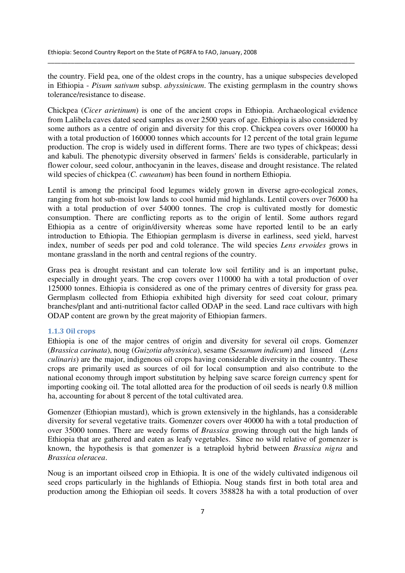the country. Field pea, one of the oldest crops in the country, has a unique subspecies developed in Ethiopia - *Pisum sativum* subsp. *abyssinicum*. The existing germplasm in the country shows tolerance/resistance to disease.

\_\_\_\_\_\_\_\_\_\_\_\_\_\_\_\_\_\_\_\_\_\_\_\_\_\_\_\_\_\_\_\_\_\_\_\_\_\_\_\_\_\_\_\_\_\_\_\_\_\_\_\_\_\_\_\_\_\_\_\_\_\_\_\_\_\_\_\_\_\_\_\_\_\_\_\_\_\_\_\_\_\_\_\_\_\_\_\_\_\_\_\_\_

Chickpea (*Cicer arietinum*) is one of the ancient crops in Ethiopia. Archaeological evidence from Lalibela caves dated seed samples as over 2500 years of age. Ethiopia is also considered by some authors as a centre of origin and diversity for this crop. Chickpea covers over 160000 ha with a total production of 160000 tonnes which accounts for 12 percent of the total grain legume production. The crop is widely used in different forms. There are two types of chickpeas; dessi and kabuli. The phenotypic diversity observed in farmers' fields is considerable, particularly in flower colour, seed colour, anthocyanin in the leaves, disease and drought resistance. The related wild species of chickpea (*C. cuneatum*) has been found in northern Ethiopia.

Lentil is among the principal food legumes widely grown in diverse agro-ecological zones, ranging from hot sub-moist low lands to cool humid mid highlands. Lentil covers over 76000 ha with a total production of over 54000 tonnes. The crop is cultivated mostly for domestic consumption. There are conflicting reports as to the origin of lentil. Some authors regard Ethiopia as a centre of origin/diversity whereas some have reported lentil to be an early introduction to Ethiopia. The Ethiopian germplasm is diverse in earliness, seed yield, harvest index, number of seeds per pod and cold tolerance. The wild species *Lens ervoides* grows in montane grassland in the north and central regions of the country.

Grass pea is drought resistant and can tolerate low soil fertility and is an important pulse, especially in drought years. The crop covers over 110000 ha with a total production of over 125000 tonnes. Ethiopia is considered as one of the primary centres of diversity for grass pea. Germplasm collected from Ethiopia exhibited high diversity for seed coat colour, primary branches/plant and anti-nutritional factor called ODAP in the seed. Land race cultivars with high ODAP content are grown by the great majority of Ethiopian farmers.

## 1.1.3 Oil crops

Ethiopia is one of the major centres of origin and diversity for several oil crops. Gomenzer (*Brassica carinata*), noug (*Guizotia abyssinica*), sesame (S*esamum indicum*) and linseed (*Lens culinaris*) are the major, indigenous oil crops having considerable diversity in the country. These crops are primarily used as sources of oil for local consumption and also contribute to the national economy through import substitution by helping save scarce foreign currency spent for importing cooking oil. The total allotted area for the production of oil seeds is nearly 0.8 million ha, accounting for about 8 percent of the total cultivated area.

Gomenzer (Ethiopian mustard), which is grown extensively in the highlands, has a considerable diversity for several vegetative traits. Gomenzer covers over 40000 ha with a total production of over 35000 tonnes. There are weedy forms of *Brassica* growing through out the high lands of Ethiopia that are gathered and eaten as leafy vegetables. Since no wild relative of gomenzer is known, the hypothesis is that gomenzer is a tetraploid hybrid between *Brassica nigra* and *Brassica oleracea*.

Noug is an important oilseed crop in Ethiopia. It is one of the widely cultivated indigenous oil seed crops particularly in the highlands of Ethiopia. Noug stands first in both total area and production among the Ethiopian oil seeds. It covers 358828 ha with a total production of over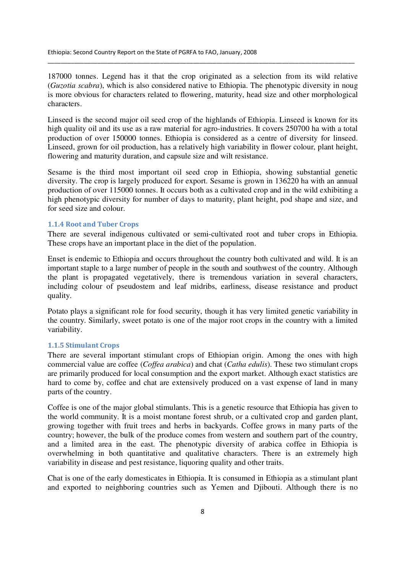187000 tonnes. Legend has it that the crop originated as a selection from its wild relative (*Guzotia scabra*), which is also considered native to Ethiopia. The phenotypic diversity in noug is more obvious for characters related to flowering, maturity, head size and other morphological characters.

\_\_\_\_\_\_\_\_\_\_\_\_\_\_\_\_\_\_\_\_\_\_\_\_\_\_\_\_\_\_\_\_\_\_\_\_\_\_\_\_\_\_\_\_\_\_\_\_\_\_\_\_\_\_\_\_\_\_\_\_\_\_\_\_\_\_\_\_\_\_\_\_\_\_\_\_\_\_\_\_\_\_\_\_\_\_\_\_\_\_\_\_\_

Linseed is the second major oil seed crop of the highlands of Ethiopia. Linseed is known for its high quality oil and its use as a raw material for agro-industries. It covers 250700 ha with a total production of over 150000 tonnes. Ethiopia is considered as a centre of diversity for linseed. Linseed, grown for oil production, has a relatively high variability in flower colour, plant height, flowering and maturity duration, and capsule size and wilt resistance.

Sesame is the third most important oil seed crop in Ethiopia, showing substantial genetic diversity. The crop is largely produced for export. Sesame is grown in 136220 ha with an annual production of over 115000 tonnes. It occurs both as a cultivated crop and in the wild exhibiting a high phenotypic diversity for number of days to maturity, plant height, pod shape and size, and for seed size and colour.

#### 1.1.4 Root and Tuber Crops

There are several indigenous cultivated or semi-cultivated root and tuber crops in Ethiopia. These crops have an important place in the diet of the population.

Enset is endemic to Ethiopia and occurs throughout the country both cultivated and wild. It is an important staple to a large number of people in the south and southwest of the country. Although the plant is propagated vegetatively, there is tremendous variation in several characters, including colour of pseudostem and leaf midribs, earliness, disease resistance and product quality.

Potato plays a significant role for food security, though it has very limited genetic variability in the country. Similarly, sweet potato is one of the major root crops in the country with a limited variability.

#### 1.1.5 Stimulant Crops

There are several important stimulant crops of Ethiopian origin. Among the ones with high commercial value are coffee (*Coffea arabica*) and chat (*Catha edulis*). These two stimulant crops are primarily produced for local consumption and the export market. Although exact statistics are hard to come by, coffee and chat are extensively produced on a vast expense of land in many parts of the country.

Coffee is one of the major global stimulants. This is a genetic resource that Ethiopia has given to the world community. It is a moist montane forest shrub, or a cultivated crop and garden plant, growing together with fruit trees and herbs in backyards. Coffee grows in many parts of the country; however, the bulk of the produce comes from western and southern part of the country, and a limited area in the east. The phenotypic diversity of arabica coffee in Ethiopia is overwhelming in both quantitative and qualitative characters. There is an extremely high variability in disease and pest resistance, liquoring quality and other traits.

Chat is one of the early domesticates in Ethiopia. It is consumed in Ethiopia as a stimulant plant and exported to neighboring countries such as Yemen and Djibouti. Although there is no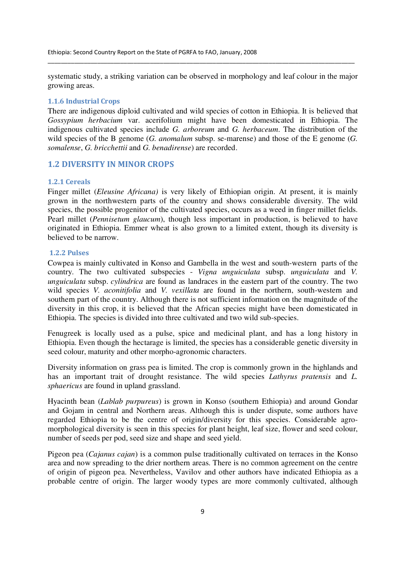systematic study, a striking variation can be observed in morphology and leaf colour in the major growing areas.

\_\_\_\_\_\_\_\_\_\_\_\_\_\_\_\_\_\_\_\_\_\_\_\_\_\_\_\_\_\_\_\_\_\_\_\_\_\_\_\_\_\_\_\_\_\_\_\_\_\_\_\_\_\_\_\_\_\_\_\_\_\_\_\_\_\_\_\_\_\_\_\_\_\_\_\_\_\_\_\_\_\_\_\_\_\_\_\_\_\_\_\_\_

#### 1.1.6 Industrial Crops

There are indigenous diploid cultivated and wild species of cotton in Ethiopia. It is believed that *Gossypium herbacium* var. acerifolium might have been domesticated in Ethiopia. The indigenous cultivated species include *G. arboreum* and *G. herbaceum*. The distribution of the wild species of the B genome (*G. anomalum* subsp. se-marense) and those of the E genome (*G. somalense*, *G. bricchettii* and *G. benadirense*) are recorded.

## 1.2 DIVERSITY IN MINOR CROPS

#### 1.2.1 Cereals

Finger millet (*Eleusine Africana)* is very likely of Ethiopian origin. At present, it is mainly grown in the northwestern parts of the country and shows considerable diversity. The wild species, the possible progenitor of the cultivated species, occurs as a weed in finger millet fields. Pearl millet (*Pennisetum glaucum*), though less important in production, is believed to have originated in Ethiopia. Emmer wheat is also grown to a limited extent, though its diversity is believed to be narrow.

#### 1.2.2 Pulses

Cowpea is mainly cultivated in Konso and Gambella in the west and south-western parts of the country. The two cultivated subspecies - *Vigna unguiculata* subsp. *unguiculata* and *V. unguiculata* subsp. *cylindrica* are found as landraces in the eastern part of the country. The two wild species *V. aconitifolia* and *V. vexillata* are found in the northern, south-western and southern part of the country. Although there is not sufficient information on the magnitude of the diversity in this crop, it is believed that the African species might have been domesticated in Ethiopia. The species is divided into three cultivated and two wild sub-species.

Fenugreek is locally used as a pulse, spice and medicinal plant, and has a long history in Ethiopia. Even though the hectarage is limited, the species has a considerable genetic diversity in seed colour, maturity and other morpho-agronomic characters.

Diversity information on grass pea is limited. The crop is commonly grown in the highlands and has an important trait of drought resistance. The wild species *Lathyrus pratensis* and *L. sphaericus* are found in upland grassland.

Hyacinth bean (*Lablab purpureus*) is grown in Konso (southern Ethiopia) and around Gondar and Gojam in central and Northern areas. Although this is under dispute, some authors have regarded Ethiopia to be the centre of origin/diversity for this species. Considerable agromorphological diversity is seen in this species for plant height, leaf size, flower and seed colour, number of seeds per pod, seed size and shape and seed yield.

Pigeon pea (*Cajanus cajan*) is a common pulse traditionally cultivated on terraces in the Konso area and now spreading to the drier northern areas. There is no common agreement on the centre of origin of pigeon pea. Nevertheless, Vavilov and other authors have indicated Ethiopia as a probable centre of origin. The larger woody types are more commonly cultivated, although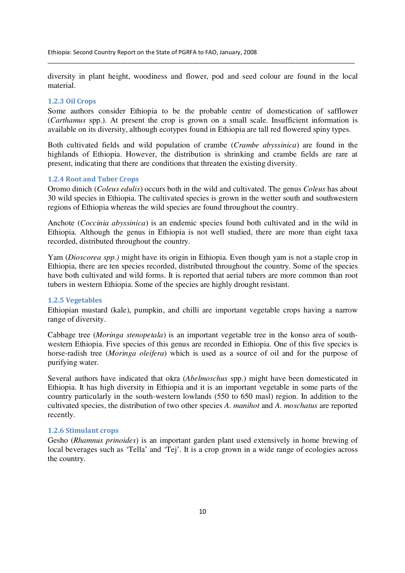diversity in plant height, woodiness and flower, pod and seed colour are found in the local material.

\_\_\_\_\_\_\_\_\_\_\_\_\_\_\_\_\_\_\_\_\_\_\_\_\_\_\_\_\_\_\_\_\_\_\_\_\_\_\_\_\_\_\_\_\_\_\_\_\_\_\_\_\_\_\_\_\_\_\_\_\_\_\_\_\_\_\_\_\_\_\_\_\_\_\_\_\_\_\_\_\_\_\_\_\_\_\_\_\_\_\_\_\_

### 1.2.3 Oil Crops

Some authors consider Ethiopia to be the probable centre of domestication of safflower (*Carthamus* spp.). At present the crop is grown on a small scale. Insufficient information is available on its diversity, although ecotypes found in Ethiopia are tall red flowered spiny types.

Both cultivated fields and wild population of crambe (*Crambe abyssinica*) are found in the highlands of Ethiopia. However, the distribution is shrinking and crambe fields are rare at present, indicating that there are conditions that threaten the existing diversity.

#### 1.2.4 Root and Tuber Crops

Oromo dinich (*Coleus edulis*) occurs both in the wild and cultivated. The genus *Coleus* has about 30 wild species in Ethiopia. The cultivated species is grown in the wetter south and southwestern regions of Ethiopia whereas the wild species are found throughout the country.

Anchote (*Coccinia abyssinica*) is an endemic species found both cultivated and in the wild in Ethiopia. Although the genus in Ethiopia is not well studied, there are more than eight taxa recorded, distributed throughout the country.

Yam (*Dioscorea spp.)* might have its origin in Ethiopia. Even though yam is not a staple crop in Ethiopia, there are ten species recorded, distributed throughout the country. Some of the species have both cultivated and wild forms. It is reported that aerial tubers are more common than root tubers in western Ethiopia. Some of the species are highly drought resistant.

#### 1.2.5 Vegetables

Ethiopian mustard (kale), pumpkin, and chilli are important vegetable crops having a narrow range of diversity.

Cabbage tree (*Moringa stenopetala*) is an important vegetable tree in the konso area of southwestern Ethiopia. Five species of this genus are recorded in Ethiopia. One of this five species is horse-radish tree (*Moringa oleifera*) which is used as a source of oil and for the purpose of purifying water.

Several authors have indicated that okra (*Abelmoschus* spp.) might have been domesticated in Ethiopia. It has high diversity in Ethiopia and it is an important vegetable in some parts of the country particularly in the south-western lowlands (550 to 650 masl) region. In addition to the cultivated species, the distribution of two other species *A. manihot* and *A. moschatus* are reported recently.

#### 1.2.6 Stimulant crops

Gesho (*Rhamnus prinoides*) is an important garden plant used extensively in home brewing of local beverages such as 'Tella' and 'Tej'. It is a crop grown in a wide range of ecologies across the country.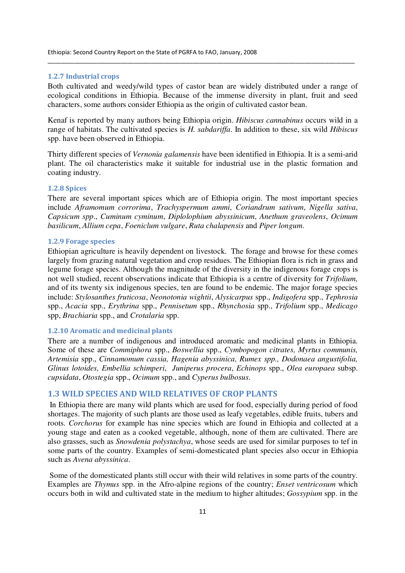#### 1.2.7 Industrial crops

Both cultivated and weedy/wild types of castor bean are widely distributed under a range of ecological conditions in Ethiopia. Because of the immense diversity in plant, fruit and seed characters, some authors consider Ethiopia as the origin of cultivated castor bean.

\_\_\_\_\_\_\_\_\_\_\_\_\_\_\_\_\_\_\_\_\_\_\_\_\_\_\_\_\_\_\_\_\_\_\_\_\_\_\_\_\_\_\_\_\_\_\_\_\_\_\_\_\_\_\_\_\_\_\_\_\_\_\_\_\_\_\_\_\_\_\_\_\_\_\_\_\_\_\_\_\_\_\_\_\_\_\_\_\_\_\_\_\_

Kenaf is reported by many authors being Ethiopia origin. *Hibiscus cannabinus* occurs wild in a range of habitats. The cultivated species is *H. sabdariffa*. In addition to these, six wild *Hibiscus*  spp. have been observed in Ethiopia.

Thirty different species of *Vernonia galamensis* have been identified in Ethiopia. It is a semi-arid plant. The oil characteristics make it suitable for industrial use in the plastic formation and coating industry.

#### 1.2.8 Spices

There are several important spices which are of Ethiopia origin. The most important species include *Aframomum corrorima*, *Trachyspermum ammi*, *Coriandrum sativum*, *Nigella sativa*, *Capsicum spp*., *Cuminum cyminum*, *Diplolophium abyssinicum*, *Anethum graveolens*, *Ocimum basilicum*, *Allium cepa*, *Foeniclum vulgare*, *Ruta chalapensis* and *Piper longum*.

### 1.2.9 Forage species

Ethiopian agriculture is heavily dependent on livestock. The forage and browse for these comes largely from grazing natural vegetation and crop residues. The Ethiopian flora is rich in grass and legume forage species. Although the magnitude of the diversity in the indigenous forage crops is not well studied, recent observations indicate that Ethiopia is a centre of diversity for *Trifolium,* and of its twenty six indigenous species, ten are found to be endemic. The major forage species include: *Stylosanthes fruticosa*, *Neonotonia wightii*, *Alysicarpus* spp., *Indigofera* spp., *Tephrosia* spp., *Acacia* spp., *Erythrina* spp., *Pennisetum* spp., *Rhynchosia* spp., *Trifolium* spp., *Medicago* spp, *Brachiaria* spp., and *Crotalaria* spp.

## 1.2.10 Aromatic and medicinal plants

There are a number of indigenous and introduced aromatic and medicinal plants in Ethiopia. Some of these are *Commiphora* spp., *Boswellia* spp., *Cymbopogon citrates, Myrtus communis, Artemisia* spp., *Cinnamomum cassia, Hagenia abyssinica, Rumex spp., Dodonaea angustifolia, Glinus lotoides, Embellia schimperi*, *Juniperus procera*, *Echinops* spp., *Olea europaea* subsp. *cupsidata*, *Otostegia* spp., *Ocimum* spp., and *Cyperus bulbosus*.

### 1.3 WILD SPECIES AND WILD RELATIVES OF CROP PLANTS

 In Ethiopia there are many wild plants which are used for food, especially during period of food shortages. The majority of such plants are those used as leafy vegetables, edible fruits, tubers and roots. *Corchorus* for example has nine species which are found in Ethiopia and collected at a young stage and eaten as a cooked vegetable, although, none of them are cultivated. There are also grasses, such as *Snowdenia polystachya*, whose seeds are used for similar purposes to tef in some parts of the country. Examples of semi-domesticated plant species also occur in Ethiopia such as *Avena abyssinica*.

 Some of the domesticated plants still occur with their wild relatives in some parts of the country. Examples are *Thymus* spp. in the Afro-alpine regions of the country; *Enset ventricosum* which occurs both in wild and cultivated state in the medium to higher altitudes; *Gossypium* spp. in the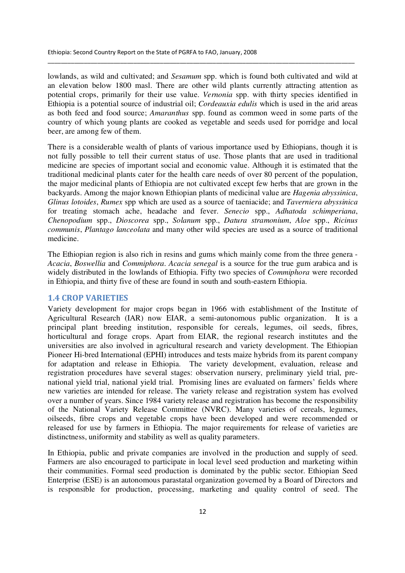lowlands, as wild and cultivated; and *Sesamum* spp. which is found both cultivated and wild at an elevation below 1800 masl. There are other wild plants currently attracting attention as potential crops, primarily for their use value. *Vernonia* spp. with thirty species identified in Ethiopia is a potential source of industrial oil; *Cordeauxia edulis* which is used in the arid areas as both feed and food source; *Amaranthus* spp. found as common weed in some parts of the country of which young plants are cooked as vegetable and seeds used for porridge and local beer, are among few of them.

\_\_\_\_\_\_\_\_\_\_\_\_\_\_\_\_\_\_\_\_\_\_\_\_\_\_\_\_\_\_\_\_\_\_\_\_\_\_\_\_\_\_\_\_\_\_\_\_\_\_\_\_\_\_\_\_\_\_\_\_\_\_\_\_\_\_\_\_\_\_\_\_\_\_\_\_\_\_\_\_\_\_\_\_\_\_\_\_\_\_\_\_\_

There is a considerable wealth of plants of various importance used by Ethiopians, though it is not fully possible to tell their current status of use. Those plants that are used in traditional medicine are species of important social and economic value. Although it is estimated that the traditional medicinal plants cater for the health care needs of over 80 percent of the population, the major medicinal plants of Ethiopia are not cultivated except few herbs that are grown in the backyards. Among the major known Ethiopian plants of medicinal value are *Hagenia abyssinica*, *Glinus lotoides*, *Rumex* spp which are used as a source of taeniacide; and *Taverniera abyssinica* for treating stomach ache, headache and fever. *Senecio* spp., *Adhatoda schimperiana*, *Chenopodium* spp., *Dioscorea* spp., *Solanum* spp., *Datura stramonium*, *Aloe* spp., *Ricinus communis*, *Plantago lanceolata* and many other wild species are used as a source of traditional medicine.

The Ethiopian region is also rich in resins and gums which mainly come from the three genera - *Acacia*, *Boswellia* and *Commiphora*. *Acacia senegal* is a source for the true gum arabica and is widely distributed in the lowlands of Ethiopia. Fifty two species of *Commiphora* were recorded in Ethiopia, and thirty five of these are found in south and south-eastern Ethiopia.

### 1.4 CROP VARIETIES

Variety development for major crops began in 1966 with establishment of the Institute of Agricultural Research (IAR) now EIAR, a semi-autonomous public organization. It is a principal plant breeding institution, responsible for cereals, legumes, oil seeds, fibres, horticultural and forage crops. Apart from EIAR, the regional research institutes and the universities are also involved in agricultural research and variety development. The Ethiopian Pioneer Hi-bred International (EPHI) introduces and tests maize hybrids from its parent company for adaptation and release in Ethiopia. The variety development, evaluation, release and registration procedures have several stages: observation nursery, preliminary yield trial, prenational yield trial, national yield trial. Promising lines are evaluated on farmers' fields where new varieties are intended for release. The variety release and registration system has evolved over a number of years. Since 1984 variety release and registration has become the responsibility of the National Variety Release Committee (NVRC). Many varieties of cereals, legumes, oilseeds, fibre crops and vegetable crops have been developed and were recommended or released for use by farmers in Ethiopia. The major requirements for release of varieties are distinctness, uniformity and stability as well as quality parameters.

In Ethiopia, public and private companies are involved in the production and supply of seed. Farmers are also encouraged to participate in local level seed production and marketing within their communities. Formal seed production is dominated by the public sector. Ethiopian Seed Enterprise (ESE) is an autonomous parastatal organization governed by a Board of Directors and is responsible for production, processing, marketing and quality control of seed. The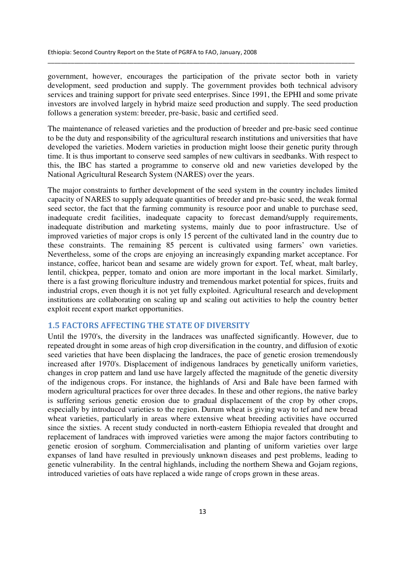government, however, encourages the participation of the private sector both in variety development, seed production and supply. The government provides both technical advisory services and training support for private seed enterprises. Since 1991, the EPHI and some private investors are involved largely in hybrid maize seed production and supply. The seed production follows a generation system: breeder, pre-basic, basic and certified seed.

\_\_\_\_\_\_\_\_\_\_\_\_\_\_\_\_\_\_\_\_\_\_\_\_\_\_\_\_\_\_\_\_\_\_\_\_\_\_\_\_\_\_\_\_\_\_\_\_\_\_\_\_\_\_\_\_\_\_\_\_\_\_\_\_\_\_\_\_\_\_\_\_\_\_\_\_\_\_\_\_\_\_\_\_\_\_\_\_\_\_\_\_\_

The maintenance of released varieties and the production of breeder and pre-basic seed continue to be the duty and responsibility of the agricultural research institutions and universities that have developed the varieties. Modern varieties in production might loose their genetic purity through time. It is thus important to conserve seed samples of new cultivars in seedbanks. With respect to this, the IBC has started a programme to conserve old and new varieties developed by the National Agricultural Research System (NARES) over the years.

The major constraints to further development of the seed system in the country includes limited capacity of NARES to supply adequate quantities of breeder and pre-basic seed, the weak formal seed sector, the fact that the farming community is resource poor and unable to purchase seed, inadequate credit facilities, inadequate capacity to forecast demand/supply requirements, inadequate distribution and marketing systems, mainly due to poor infrastructure. Use of improved varieties of major crops is only 15 percent of the cultivated land in the country due to these constraints. The remaining 85 percent is cultivated using farmers' own varieties. Nevertheless, some of the crops are enjoying an increasingly expanding market acceptance. For instance, coffee, haricot bean and sesame are widely grown for export. Tef, wheat, malt barley, lentil, chickpea, pepper, tomato and onion are more important in the local market. Similarly, there is a fast growing floriculture industry and tremendous market potential for spices, fruits and industrial crops, even though it is not yet fully exploited. Agricultural research and development institutions are collaborating on scaling up and scaling out activities to help the country better exploit recent export market opportunities.

## 1.5 FACTORS AFFECTING THE STATE OF DIVERSITY

Until the 1970's, the diversity in the landraces was unaffected significantly. However, due to repeated drought in some areas of high crop diversification in the country, and diffusion of exotic seed varieties that have been displacing the landraces, the pace of genetic erosion tremendously increased after 1970's. Displacement of indigenous landraces by genetically uniform varieties, changes in crop pattern and land use have largely affected the magnitude of the genetic diversity of the indigenous crops. For instance, the highlands of Arsi and Bale have been farmed with modern agricultural practices for over three decades. In these and other regions, the native barley is suffering serious genetic erosion due to gradual displacement of the crop by other crops, especially by introduced varieties to the region. Durum wheat is giving way to tef and new bread wheat varieties, particularly in areas where extensive wheat breeding activities have occurred since the sixties. A recent study conducted in north-eastern Ethiopia revealed that drought and replacement of landraces with improved varieties were among the major factors contributing to genetic erosion of sorghum. Commercialisation and planting of uniform varieties over large expanses of land have resulted in previously unknown diseases and pest problems, leading to genetic vulnerability. In the central highlands, including the northern Shewa and Gojam regions, introduced varieties of oats have replaced a wide range of crops grown in these areas.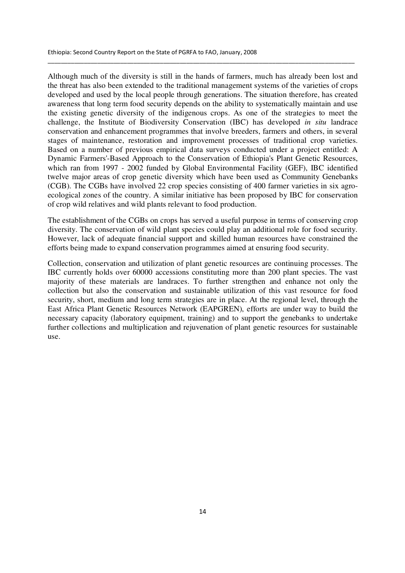Although much of the diversity is still in the hands of farmers, much has already been lost and the threat has also been extended to the traditional management systems of the varieties of crops developed and used by the local people through generations. The situation therefore, has created awareness that long term food security depends on the ability to systematically maintain and use the existing genetic diversity of the indigenous crops. As one of the strategies to meet the challenge, the Institute of Biodiversity Conservation (IBC) has developed *in situ* landrace conservation and enhancement programmes that involve breeders, farmers and others, in several stages of maintenance, restoration and improvement processes of traditional crop varieties. Based on a number of previous empirical data surveys conducted under a project entitled: A Dynamic Farmers'-Based Approach to the Conservation of Ethiopia's Plant Genetic Resources, which ran from 1997 - 2002 funded by Global Environmental Facility (GEF), IBC identified twelve major areas of crop genetic diversity which have been used as Community Genebanks (CGB). The CGBs have involved 22 crop species consisting of 400 farmer varieties in six agroecological zones of the country. A similar initiative has been proposed by IBC for conservation of crop wild relatives and wild plants relevant to food production.

\_\_\_\_\_\_\_\_\_\_\_\_\_\_\_\_\_\_\_\_\_\_\_\_\_\_\_\_\_\_\_\_\_\_\_\_\_\_\_\_\_\_\_\_\_\_\_\_\_\_\_\_\_\_\_\_\_\_\_\_\_\_\_\_\_\_\_\_\_\_\_\_\_\_\_\_\_\_\_\_\_\_\_\_\_\_\_\_\_\_\_\_\_

The establishment of the CGBs on crops has served a useful purpose in terms of conserving crop diversity. The conservation of wild plant species could play an additional role for food security. However, lack of adequate financial support and skilled human resources have constrained the efforts being made to expand conservation programmes aimed at ensuring food security.

Collection, conservation and utilization of plant genetic resources are continuing processes. The IBC currently holds over 60000 accessions constituting more than 200 plant species. The vast majority of these materials are landraces. To further strengthen and enhance not only the collection but also the conservation and sustainable utilization of this vast resource for food security, short, medium and long term strategies are in place. At the regional level, through the East Africa Plant Genetic Resources Network (EAPGREN), efforts are under way to build the necessary capacity (laboratory equipment, training) and to support the genebanks to undertake further collections and multiplication and rejuvenation of plant genetic resources for sustainable use.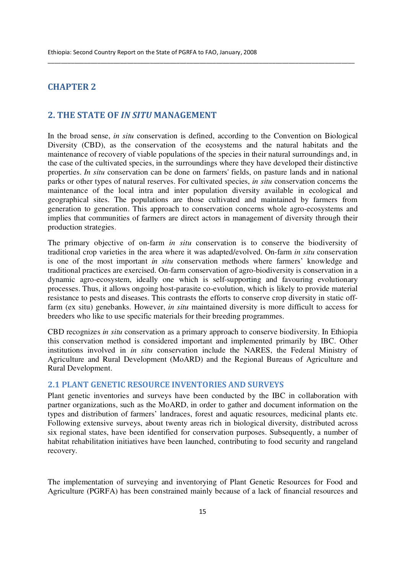## CHAPTER 2

## 2. THE STATE OF IN SITU MANAGEMENT

In the broad sense, *in situ* conservation is defined, according to the Convention on Biological Diversity (CBD), as the conservation of the ecosystems and the natural habitats and the maintenance of recovery of viable populations of the species in their natural surroundings and, in the case of the cultivated species, in the surroundings where they have developed their distinctive properties. *In situ* conservation can be done on farmers' fields, on pasture lands and in national parks or other types of natural reserves. For cultivated species, *in situ* conservation concerns the maintenance of the local intra and inter population diversity available in ecological and geographical sites. The populations are those cultivated and maintained by farmers from generation to generation. This approach to conservation concerns whole agro-ecosystems and implies that communities of farmers are direct actors in management of diversity through their production strategies.

\_\_\_\_\_\_\_\_\_\_\_\_\_\_\_\_\_\_\_\_\_\_\_\_\_\_\_\_\_\_\_\_\_\_\_\_\_\_\_\_\_\_\_\_\_\_\_\_\_\_\_\_\_\_\_\_\_\_\_\_\_\_\_\_\_\_\_\_\_\_\_\_\_\_\_\_\_\_\_\_\_\_\_\_\_\_\_\_\_\_\_\_\_

The primary objective of on-farm *in situ* conservation is to conserve the biodiversity of traditional crop varieties in the area where it was adapted/evolved. On-farm *in situ* conservation is one of the most important *in situ* conservation methods where farmers' knowledge and traditional practices are exercised. On-farm conservation of agro-biodiversity is conservation in a dynamic agro-ecosystem, ideally one which is self-supporting and favouring evolutionary processes. Thus, it allows ongoing host-parasite co-evolution, which is likely to provide material resistance to pests and diseases. This contrasts the efforts to conserve crop diversity in static offfarm (ex situ) genebanks. However, *in situ* maintained diversity is more difficult to access for breeders who like to use specific materials for their breeding programmes.

CBD recognizes *in situ* conservation as a primary approach to conserve biodiversity. In Ethiopia this conservation method is considered important and implemented primarily by IBC. Other institutions involved in *in situ* conservation include the NARES, the Federal Ministry of Agriculture and Rural Development (MoARD) and the Regional Bureaus of Agriculture and Rural Development.

## 2.1 PLANT GENETIC RESOURCE INVENTORIES AND SURVEYS

Plant genetic inventories and surveys have been conducted by the IBC in collaboration with partner organizations, such as the MoARD, in order to gather and document information on the types and distribution of farmers' landraces, forest and aquatic resources, medicinal plants etc. Following extensive surveys, about twenty areas rich in biological diversity, distributed across six regional states, have been identified for conservation purposes. Subsequently, a number of habitat rehabilitation initiatives have been launched, contributing to food security and rangeland recovery.

The implementation of surveying and inventorying of Plant Genetic Resources for Food and Agriculture (PGRFA) has been constrained mainly because of a lack of financial resources and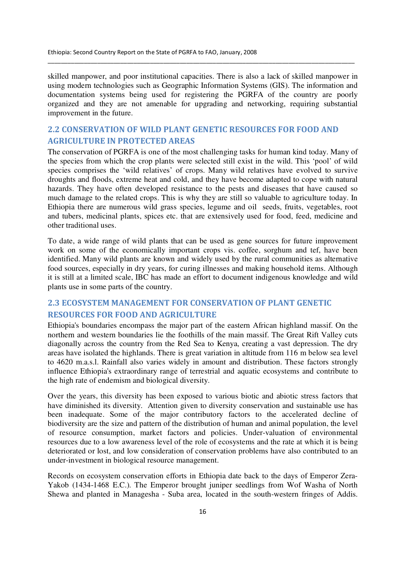skilled manpower, and poor institutional capacities. There is also a lack of skilled manpower in using modern technologies such as Geographic Information Systems (GIS). The information and documentation systems being used for registering the PGRFA of the country are poorly organized and they are not amenable for upgrading and networking, requiring substantial improvement in the future.

\_\_\_\_\_\_\_\_\_\_\_\_\_\_\_\_\_\_\_\_\_\_\_\_\_\_\_\_\_\_\_\_\_\_\_\_\_\_\_\_\_\_\_\_\_\_\_\_\_\_\_\_\_\_\_\_\_\_\_\_\_\_\_\_\_\_\_\_\_\_\_\_\_\_\_\_\_\_\_\_\_\_\_\_\_\_\_\_\_\_\_\_\_

## 2.2 CONSERVATION OF WILD PLANT GENETIC RESOURCES FOR FOOD AND AGRICULTURE IN PROTECTED AREAS

The conservation of PGRFA is one of the most challenging tasks for human kind today. Many of the species from which the crop plants were selected still exist in the wild. This 'pool' of wild species comprises the 'wild relatives' of crops. Many wild relatives have evolved to survive droughts and floods, extreme heat and cold, and they have become adapted to cope with natural hazards. They have often developed resistance to the pests and diseases that have caused so much damage to the related crops. This is why they are still so valuable to agriculture today. In Ethiopia there are numerous wild grass species, legume and oil seeds, fruits, vegetables, root and tubers, medicinal plants, spices etc. that are extensively used for food, feed, medicine and other traditional uses.

To date, a wide range of wild plants that can be used as gene sources for future improvement work on some of the economically important crops vis. coffee, sorghum and tef, have been identified. Many wild plants are known and widely used by the rural communities as alternative food sources, especially in dry years, for curing illnesses and making household items. Although it is still at a limited scale, IBC has made an effort to document indigenous knowledge and wild plants use in some parts of the country.

## 2.3 ECOSYSTEM MANAGEMENT FOR CONSERVATION OF PLANT GENETIC RESOURCES FOR FOOD AND AGRICULTURE

Ethiopia's boundaries encompass the major part of the eastern African highland massif. On the northern and western boundaries lie the foothills of the main massif. The Great Rift Valley cuts diagonally across the country from the Red Sea to Kenya, creating a vast depression. The dry areas have isolated the highlands. There is great variation in altitude from 116 m below sea level to 4620 m.a.s.l. Rainfall also varies widely in amount and distribution. These factors strongly influence Ethiopia's extraordinary range of terrestrial and aquatic ecosystems and contribute to the high rate of endemism and biological diversity.

Over the years, this diversity has been exposed to various biotic and abiotic stress factors that have diminished its diversity. Attention given to diversity conservation and sustainable use has been inadequate. Some of the major contributory factors to the accelerated decline of biodiversity are the size and pattern of the distribution of human and animal population, the level of resource consumption, market factors and policies. Under-valuation of environmental resources due to a low awareness level of the role of ecosystems and the rate at which it is being deteriorated or lost, and low consideration of conservation problems have also contributed to an under-investment in biological resource management.

Records on ecosystem conservation efforts in Ethiopia date back to the days of Emperor Zera-Yakob (1434-1468 E.C.). The Emperor brought juniper seedlings from Wof Washa of North Shewa and planted in Managesha - Suba area, located in the south-western fringes of Addis.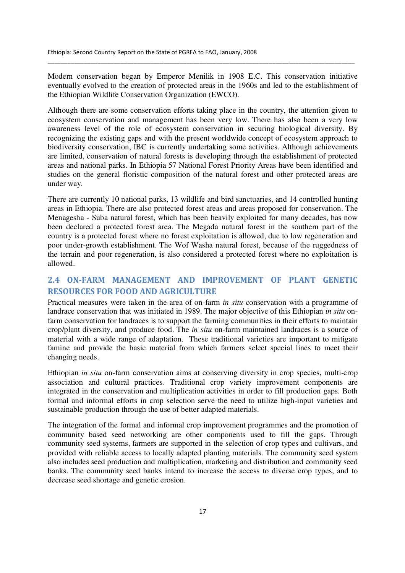Modern conservation began by Emperor Menilik in 1908 E.C. This conservation initiative eventually evolved to the creation of protected areas in the 1960s and led to the establishment of the Ethiopian Wildlife Conservation Organization (EWCO).

\_\_\_\_\_\_\_\_\_\_\_\_\_\_\_\_\_\_\_\_\_\_\_\_\_\_\_\_\_\_\_\_\_\_\_\_\_\_\_\_\_\_\_\_\_\_\_\_\_\_\_\_\_\_\_\_\_\_\_\_\_\_\_\_\_\_\_\_\_\_\_\_\_\_\_\_\_\_\_\_\_\_\_\_\_\_\_\_\_\_\_\_\_

Although there are some conservation efforts taking place in the country, the attention given to ecosystem conservation and management has been very low. There has also been a very low awareness level of the role of ecosystem conservation in securing biological diversity. By recognizing the existing gaps and with the present worldwide concept of ecosystem approach to biodiversity conservation, IBC is currently undertaking some activities. Although achievements are limited, conservation of natural forests is developing through the establishment of protected areas and national parks. In Ethiopia 57 National Forest Priority Areas have been identified and studies on the general floristic composition of the natural forest and other protected areas are under way.

There are currently 10 national parks, 13 wildlife and bird sanctuaries, and 14 controlled hunting areas in Ethiopia. There are also protected forest areas and areas proposed for conservation. The Menagesha - Suba natural forest, which has been heavily exploited for many decades, has now been declared a protected forest area. The Megada natural forest in the southern part of the country is a protected forest where no forest exploitation is allowed, due to low regeneration and poor under-growth establishment. The Wof Washa natural forest, because of the ruggedness of the terrain and poor regeneration, is also considered a protected forest where no exploitation is allowed.

## 2.4 ON-FARM MANAGEMENT AND IMPROVEMENT OF PLANT GENETIC RESOURCES FOR FOOD AND AGRICULTURE

Practical measures were taken in the area of on-farm *in situ* conservation with a programme of landrace conservation that was initiated in 1989. The major objective of this Ethiopian *in situ* onfarm conservation for landraces is to support the farming communities in their efforts to maintain crop/plant diversity, and produce food. The *in situ* on-farm maintained landraces is a source of material with a wide range of adaptation. These traditional varieties are important to mitigate famine and provide the basic material from which farmers select special lines to meet their changing needs.

Ethiopian *in situ* on-farm conservation aims at conserving diversity in crop species, multi-crop association and cultural practices. Traditional crop variety improvement components are integrated in the conservation and multiplication activities in order to fill production gaps. Both formal and informal efforts in crop selection serve the need to utilize high-input varieties and sustainable production through the use of better adapted materials.

The integration of the formal and informal crop improvement programmes and the promotion of community based seed networking are other components used to fill the gaps. Through community seed systems, farmers are supported in the selection of crop types and cultivars, and provided with reliable access to locally adapted planting materials. The community seed system also includes seed production and multiplication, marketing and distribution and community seed banks. The community seed banks intend to increase the access to diverse crop types, and to decrease seed shortage and genetic erosion.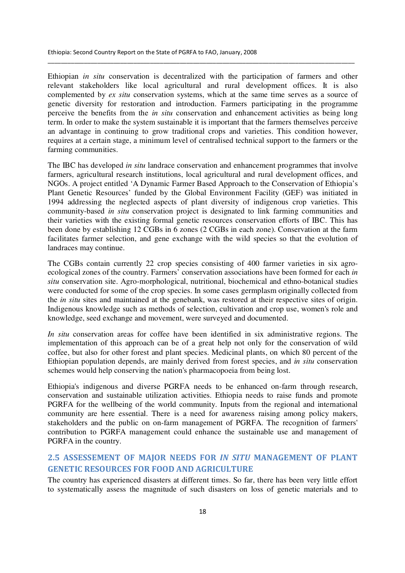Ethiopian *in situ* conservation is decentralized with the participation of farmers and other relevant stakeholders like local agricultural and rural development offices. It is also complemented by *ex situ* conservation systems, which at the same time serves as a source of genetic diversity for restoration and introduction. Farmers participating in the programme perceive the benefits from the *in situ* conservation and enhancement activities as being long term. In order to make the system sustainable it is important that the farmers themselves perceive an advantage in continuing to grow traditional crops and varieties. This condition however, requires at a certain stage, a minimum level of centralised technical support to the farmers or the farming communities.

\_\_\_\_\_\_\_\_\_\_\_\_\_\_\_\_\_\_\_\_\_\_\_\_\_\_\_\_\_\_\_\_\_\_\_\_\_\_\_\_\_\_\_\_\_\_\_\_\_\_\_\_\_\_\_\_\_\_\_\_\_\_\_\_\_\_\_\_\_\_\_\_\_\_\_\_\_\_\_\_\_\_\_\_\_\_\_\_\_\_\_\_\_

The IBC has developed *in situ* landrace conservation and enhancement programmes that involve farmers, agricultural research institutions, local agricultural and rural development offices, and NGOs. A project entitled 'A Dynamic Farmer Based Approach to the Conservation of Ethiopia's Plant Genetic Resources' funded by the Global Environment Facility (GEF) was initiated in 1994 addressing the neglected aspects of plant diversity of indigenous crop varieties. This community-based *in situ* conservation project is designated to link farming communities and their varieties with the existing formal genetic resources conservation efforts of IBC. This has been done by establishing 12 CGBs in 6 zones (2 CGBs in each zone). Conservation at the farm facilitates farmer selection, and gene exchange with the wild species so that the evolution of landraces may continue.

The CGBs contain currently 22 crop species consisting of 400 farmer varieties in six agroecological zones of the country. Farmers' conservation associations have been formed for each *in situ* conservation site. Agro-morphological, nutritional, biochemical and ethno-botanical studies were conducted for some of the crop species. In some cases germplasm originally collected from the *in situ* sites and maintained at the genebank, was restored at their respective sites of origin. Indigenous knowledge such as methods of selection, cultivation and crop use, women's role and knowledge, seed exchange and movement, were surveyed and documented.

*In situ* conservation areas for coffee have been identified in six administrative regions. The implementation of this approach can be of a great help not only for the conservation of wild coffee, but also for other forest and plant species. Medicinal plants, on which 80 percent of the Ethiopian population depends, are mainly derived from forest species, and *in situ* conservation schemes would help conserving the nation's pharmacopoeia from being lost.

Ethiopia's indigenous and diverse PGRFA needs to be enhanced on-farm through research, conservation and sustainable utilization activities. Ethiopia needs to raise funds and promote PGRFA for the wellbeing of the world community. Inputs from the regional and international community are here essential. There is a need for awareness raising among policy makers, stakeholders and the public on on-farm management of PGRFA. The recognition of farmers' contribution to PGRFA management could enhance the sustainable use and management of PGRFA in the country.

## 2.5 ASSESSEMENT OF MAJOR NEEDS FOR IN SITU MANAGEMENT OF PLANT GENETIC RESOURCES FOR FOOD AND AGRICULTURE

The country has experienced disasters at different times. So far, there has been very little effort to systematically assess the magnitude of such disasters on loss of genetic materials and to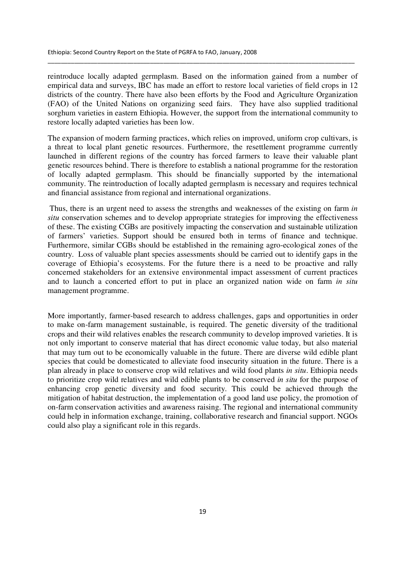reintroduce locally adapted germplasm. Based on the information gained from a number of empirical data and surveys, IBC has made an effort to restore local varieties of field crops in 12 districts of the country. There have also been efforts by the Food and Agriculture Organization (FAO) of the United Nations on organizing seed fairs. They have also supplied traditional sorghum varieties in eastern Ethiopia. However, the support from the international community to restore locally adapted varieties has been low.

\_\_\_\_\_\_\_\_\_\_\_\_\_\_\_\_\_\_\_\_\_\_\_\_\_\_\_\_\_\_\_\_\_\_\_\_\_\_\_\_\_\_\_\_\_\_\_\_\_\_\_\_\_\_\_\_\_\_\_\_\_\_\_\_\_\_\_\_\_\_\_\_\_\_\_\_\_\_\_\_\_\_\_\_\_\_\_\_\_\_\_\_\_

The expansion of modern farming practices, which relies on improved, uniform crop cultivars, is a threat to local plant genetic resources. Furthermore, the resettlement programme currently launched in different regions of the country has forced farmers to leave their valuable plant genetic resources behind. There is therefore to establish a national programme for the restoration of locally adapted germplasm. This should be financially supported by the international community. The reintroduction of locally adapted germplasm is necessary and requires technical and financial assistance from regional and international organizations.

 Thus, there is an urgent need to assess the strengths and weaknesses of the existing on farm *in situ* conservation schemes and to develop appropriate strategies for improving the effectiveness of these. The existing CGBs are positively impacting the conservation and sustainable utilization of farmers' varieties. Support should be ensured both in terms of finance and technique. Furthermore, similar CGBs should be established in the remaining agro-ecological zones of the country. Loss of valuable plant species assessments should be carried out to identify gaps in the coverage of Ethiopia's ecosystems. For the future there is a need to be proactive and rally concerned stakeholders for an extensive environmental impact assessment of current practices and to launch a concerted effort to put in place an organized nation wide on farm *in situ* management programme.

More importantly, farmer-based research to address challenges, gaps and opportunities in order to make on-farm management sustainable, is required. The genetic diversity of the traditional crops and their wild relatives enables the research community to develop improved varieties. It is not only important to conserve material that has direct economic value today, but also material that may turn out to be economically valuable in the future. There are diverse wild edible plant species that could be domesticated to alleviate food insecurity situation in the future. There is a plan already in place to conserve crop wild relatives and wild food plants *in situ*. Ethiopia needs to prioritize crop wild relatives and wild edible plants to be conserved *in situ* for the purpose of enhancing crop genetic diversity and food security. This could be achieved through the mitigation of habitat destruction, the implementation of a good land use policy, the promotion of on-farm conservation activities and awareness raising. The regional and international community could help in information exchange, training, collaborative research and financial support. NGOs could also play a significant role in this regards.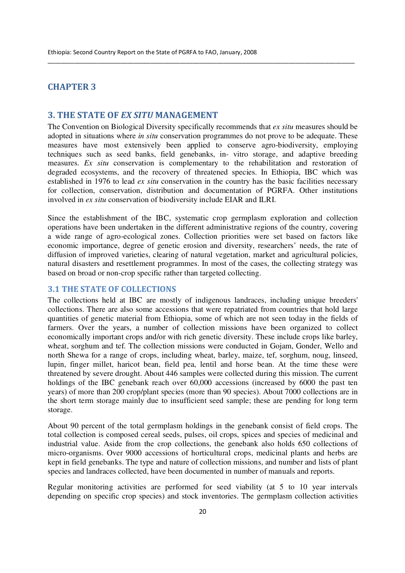## CHAPTER 3

## 3. THE STATE OF EX SITU MANAGEMENT

The Convention on Biological Diversity specifically recommends that *ex situ* measures should be adopted in situations where *in situ* conservation programmes do not prove to be adequate. These measures have most extensively been applied to conserve agro-biodiversity, employing techniques such as seed banks, field genebanks, in- vitro storage, and adaptive breeding measures. *Ex situ* conservation is complementary to the rehabilitation and restoration of degraded ecosystems, and the recovery of threatened species. In Ethiopia, IBC which was established in 1976 to lead *ex situ* conservation in the country has the basic facilities necessary for collection, conservation, distribution and documentation of PGRFA. Other institutions involved in *ex situ* conservation of biodiversity include EIAR and ILRI.

\_\_\_\_\_\_\_\_\_\_\_\_\_\_\_\_\_\_\_\_\_\_\_\_\_\_\_\_\_\_\_\_\_\_\_\_\_\_\_\_\_\_\_\_\_\_\_\_\_\_\_\_\_\_\_\_\_\_\_\_\_\_\_\_\_\_\_\_\_\_\_\_\_\_\_\_\_\_\_\_\_\_\_\_\_\_\_\_\_\_\_\_\_

Since the establishment of the IBC, systematic crop germplasm exploration and collection operations have been undertaken in the different administrative regions of the country, covering a wide range of agro-ecological zones. Collection priorities were set based on factors like economic importance, degree of genetic erosion and diversity, researchers' needs, the rate of diffusion of improved varieties, clearing of natural vegetation, market and agricultural policies, natural disasters and resettlement programmes. In most of the cases, the collecting strategy was based on broad or non-crop specific rather than targeted collecting.

## 3.1 THE STATE OF COLLECTIONS

The collections held at IBC are mostly of indigenous landraces, including unique breeders' collections. There are also some accessions that were repatriated from countries that hold large quantities of genetic material from Ethiopia, some of which are not seen today in the fields of farmers. Over the years, a number of collection missions have been organized to collect economically important crops and/or with rich genetic diversity. These include crops like barley, wheat, sorghum and tef. The collection missions were conducted in Gojam, Gonder, Wello and north Shewa for a range of crops, including wheat, barley, maize, tef, sorghum, noug, linseed, lupin, finger millet, haricot bean, field pea, lentil and horse bean. At the time these were threatened by severe drought. About 446 samples were collected during this mission. The current holdings of the IBC genebank reach over 60,000 accessions (increased by 6000 the past ten years) of more than 200 crop/plant species (more than 90 species). About 7000 collections are in the short term storage mainly due to insufficient seed sample; these are pending for long term storage.

About 90 percent of the total germplasm holdings in the genebank consist of field crops. The total collection is composed cereal seeds, pulses, oil crops, spices and species of medicinal and industrial value. Aside from the crop collections, the genebank also holds 650 collections of micro-organisms. Over 9000 accessions of horticultural crops, medicinal plants and herbs are kept in field genebanks. The type and nature of collection missions, and number and lists of plant species and landraces collected, have been documented in number of manuals and reports.

Regular monitoring activities are performed for seed viability (at 5 to 10 year intervals depending on specific crop species) and stock inventories. The germplasm collection activities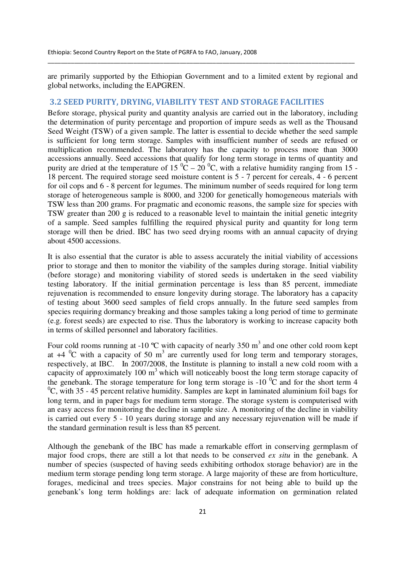are primarily supported by the Ethiopian Government and to a limited extent by regional and global networks, including the EAPGREN.

\_\_\_\_\_\_\_\_\_\_\_\_\_\_\_\_\_\_\_\_\_\_\_\_\_\_\_\_\_\_\_\_\_\_\_\_\_\_\_\_\_\_\_\_\_\_\_\_\_\_\_\_\_\_\_\_\_\_\_\_\_\_\_\_\_\_\_\_\_\_\_\_\_\_\_\_\_\_\_\_\_\_\_\_\_\_\_\_\_\_\_\_\_

## 3.2 SEED PURITY, DRYING, VIABILITY TEST AND STORAGE FACILITIES

Before storage, physical purity and quantity analysis are carried out in the laboratory, including the determination of purity percentage and proportion of impure seeds as well as the Thousand Seed Weight (TSW) of a given sample. The latter is essential to decide whether the seed sample is sufficient for long term storage. Samples with insufficient number of seeds are refused or multiplication recommended. The laboratory has the capacity to process more than 3000 accessions annually. Seed accessions that qualify for long term storage in terms of quantity and purity are dried at the temperature of 15  $^{\circ}C - 20^{\circ}C$ , with a relative humidity ranging from 15 -18 percent. The required storage seed moisture content is 5 - 7 percent for cereals, 4 - 6 percent for oil cops and 6 - 8 percent for legumes. The minimum number of seeds required for long term storage of heterogeneous sample is 8000, and 3200 for genetically homogeneous materials with TSW less than 200 grams. For pragmatic and economic reasons, the sample size for species with TSW greater than 200 g is reduced to a reasonable level to maintain the initial genetic integrity of a sample. Seed samples fulfilling the required physical purity and quantity for long term storage will then be dried. IBC has two seed drying rooms with an annual capacity of drying about 4500 accessions.

It is also essential that the curator is able to assess accurately the initial viability of accessions prior to storage and then to monitor the viability of the samples during storage. Initial viability (before storage) and monitoring viability of stored seeds is undertaken in the seed viability testing laboratory. If the initial germination percentage is less than 85 percent, immediate rejuvenation is recommended to ensure longevity during storage. The laboratory has a capacity of testing about 3600 seed samples of field crops annually. In the future seed samples from species requiring dormancy breaking and those samples taking a long period of time to germinate (e.g. forest seeds) are expected to rise. Thus the laboratory is working to increase capacity both in terms of skilled personnel and laboratory facilities.

Four cold rooms running at -10  $\degree$ C with capacity of nearly 350 m<sup>3</sup> and one other cold room kept at  $+4$  <sup>0</sup>C with a capacity of 50 m<sup>3</sup> are currently used for long term and temporary storages, respectively, at IBC. In 2007/2008, the Institute is planning to install a new cold room with a capacity of approximately 100  $m<sup>3</sup>$  which will noticeably boost the long term storage capacity of the genebank. The storage temperature for long term storage is  $-10\degree$ C and for the short term 4  ${}^{0}C$ , with 35 - 45 percent relative humidity. Samples are kept in laminated aluminium foil bags for long term, and in paper bags for medium term storage. The storage system is computerised with an easy access for monitoring the decline in sample size. A monitoring of the decline in viability is carried out every 5 - 10 years during storage and any necessary rejuvenation will be made if the standard germination result is less than 85 percent.

Although the genebank of the IBC has made a remarkable effort in conserving germplasm of major food crops, there are still a lot that needs to be conserved *ex situ* in the genebank. A number of species (suspected of having seeds exhibiting orthodox storage behavior) are in the medium term storage pending long term storage. A large majority of these are from horticulture, forages, medicinal and trees species. Major constrains for not being able to build up the genebank's long term holdings are: lack of adequate information on germination related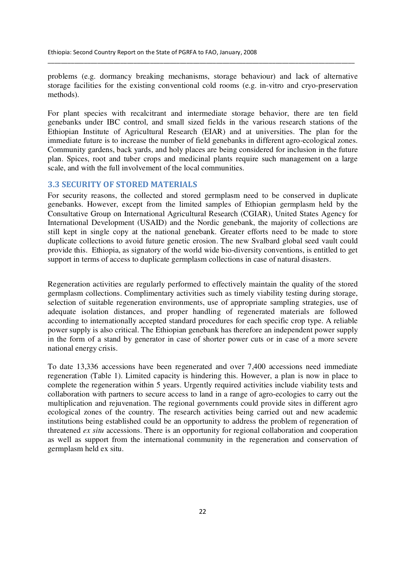problems (e.g. dormancy breaking mechanisms, storage behaviour) and lack of alternative storage facilities for the existing conventional cold rooms (e.g. in-vitro and cryo-preservation methods).

\_\_\_\_\_\_\_\_\_\_\_\_\_\_\_\_\_\_\_\_\_\_\_\_\_\_\_\_\_\_\_\_\_\_\_\_\_\_\_\_\_\_\_\_\_\_\_\_\_\_\_\_\_\_\_\_\_\_\_\_\_\_\_\_\_\_\_\_\_\_\_\_\_\_\_\_\_\_\_\_\_\_\_\_\_\_\_\_\_\_\_\_\_

For plant species with recalcitrant and intermediate storage behavior, there are ten field genebanks under IBC control, and small sized fields in the various research stations of the Ethiopian Institute of Agricultural Research (EIAR) and at universities. The plan for the immediate future is to increase the number of field genebanks in different agro-ecological zones. Community gardens, back yards, and holy places are being considered for inclusion in the future plan. Spices, root and tuber crops and medicinal plants require such management on a large scale, and with the full involvement of the local communities.

## 3.3 SECURITY OF STORED MATERIALS

For security reasons, the collected and stored germplasm need to be conserved in duplicate genebanks. However, except from the limited samples of Ethiopian germplasm held by the Consultative Group on International Agricultural Research (CGIAR), United States Agency for International Development (USAID) and the Nordic genebank, the majority of collections are still kept in single copy at the national genebank. Greater efforts need to be made to store duplicate collections to avoid future genetic erosion. The new Svalbard global seed vault could provide this. Ethiopia, as signatory of the world wide bio-diversity conventions, is entitled to get support in terms of access to duplicate germplasm collections in case of natural disasters.

Regeneration activities are regularly performed to effectively maintain the quality of the stored germplasm collections. Complimentary activities such as timely viability testing during storage, selection of suitable regeneration environments, use of appropriate sampling strategies, use of adequate isolation distances, and proper handling of regenerated materials are followed according to internationally accepted standard procedures for each specific crop type. A reliable power supply is also critical. The Ethiopian genebank has therefore an independent power supply in the form of a stand by generator in case of shorter power cuts or in case of a more severe national energy crisis.

To date 13,336 accessions have been regenerated and over 7,400 accessions need immediate regeneration (Table 1). Limited capacity is hindering this. However, a plan is now in place to complete the regeneration within 5 years. Urgently required activities include viability tests and collaboration with partners to secure access to land in a range of agro-ecologies to carry out the multiplication and rejuvenation. The regional governments could provide sites in different agro ecological zones of the country. The research activities being carried out and new academic institutions being established could be an opportunity to address the problem of regeneration of threatened *ex situ* accessions. There is an opportunity for regional collaboration and cooperation as well as support from the international community in the regeneration and conservation of germplasm held ex situ.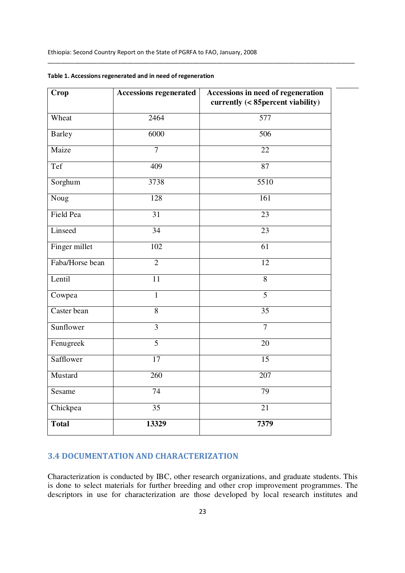\_\_\_\_\_\_\_\_\_\_\_\_\_\_\_\_\_\_\_\_\_\_\_\_\_\_\_\_\_\_\_\_\_\_\_\_\_\_\_\_\_\_\_\_\_\_\_\_\_\_\_\_\_\_\_\_\_\_\_\_\_\_\_\_\_\_\_\_\_\_\_\_\_\_\_\_\_\_\_\_\_\_\_\_\_\_\_\_\_\_\_\_\_

| Crop             | <b>Accessions regenerated</b> | Accessions in need of regeneration<br>currently (< 85 percent viability) |
|------------------|-------------------------------|--------------------------------------------------------------------------|
| Wheat            | $\frac{1}{2464}$              | 577                                                                      |
| <b>Barley</b>    | 6000                          | 506                                                                      |
| Maize            | $\overline{7}$                | 22                                                                       |
| Tef              | 409                           | $\overline{87}$                                                          |
| Sorghum          | 3738                          | $\frac{1}{5510}$                                                         |
| Noug             | 128                           | 161                                                                      |
| <b>Field Pea</b> | $\overline{31}$               | $\overline{23}$                                                          |
| Linseed          | $\overline{34}$               | $\overline{23}$                                                          |
| Finger millet    | 102                           | 61                                                                       |
| Faba/Horse bean  | $\overline{2}$                | $\overline{12}$                                                          |
| Lentil           | 11                            | $\overline{8}$                                                           |
| Cowpea           | $\mathbf{1}$                  | $\overline{5}$                                                           |
| Caster bean      | $\overline{8}$                | $\overline{35}$                                                          |
| Sunflower        | 3                             | $\overline{7}$                                                           |
| Fenugreek        | $\overline{5}$                | 20                                                                       |
| Safflower        | $\overline{17}$               | $\overline{15}$                                                          |
| Mustard          | 260                           | 207                                                                      |
| Sesame           | 74                            | $\overline{79}$                                                          |
| Chickpea         | 35                            | 21                                                                       |
| <b>Total</b>     | 13329                         | 7379                                                                     |

|  |  | Table 1. Accessions regenerated and in need of regeneration |
|--|--|-------------------------------------------------------------|
|  |  |                                                             |

## 3.4 DOCUMENTATION AND CHARACTERIZATION

Characterization is conducted by IBC, other research organizations, and graduate students. This is done to select materials for further breeding and other crop improvement programmes. The descriptors in use for characterization are those developed by local research institutes and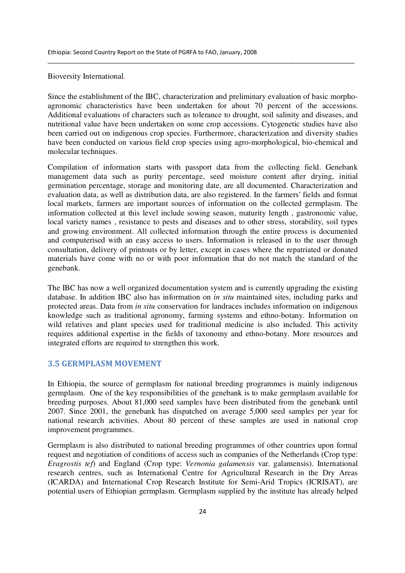Bioversity International.

Since the establishment of the IBC, characterization and preliminary evaluation of basic morphoagronomic characteristics have been undertaken for about 70 percent of the accessions. Additional evaluations of characters such as tolerance to drought, soil salinity and diseases, and nutritional value have been undertaken on some crop accessions. Cytogenetic studies have also been carried out on indigenous crop species. Furthermore, characterization and diversity studies have been conducted on various field crop species using agro-morphological, bio-chemical and molecular techniques.

\_\_\_\_\_\_\_\_\_\_\_\_\_\_\_\_\_\_\_\_\_\_\_\_\_\_\_\_\_\_\_\_\_\_\_\_\_\_\_\_\_\_\_\_\_\_\_\_\_\_\_\_\_\_\_\_\_\_\_\_\_\_\_\_\_\_\_\_\_\_\_\_\_\_\_\_\_\_\_\_\_\_\_\_\_\_\_\_\_\_\_\_\_

Compilation of information starts with passport data from the collecting field. Genebank management data such as purity percentage, seed moisture content after drying, initial germination percentage, storage and monitoring date, are all documented. Characterization and evaluation data, as well as distribution data, are also registered. In the farmers' fields and format local markets, farmers are important sources of information on the collected germplasm. The information collected at this level include sowing season, maturity length , gastronomic value, local variety names , resistance to pests and diseases and to other stress, storability, soil types and growing environment. All collected information through the entire process is documented and computerised with an easy access to users. Information is released in to the user through consultation, delivery of printouts or by letter, except in cases where the repatriated or donated materials have come with no or with poor information that do not match the standard of the genebank.

The IBC has now a well organized documentation system and is currently upgrading the existing database. In addition IBC also has information on *in situ* maintained sites, including parks and protected areas. Data from *in situ* conservation for landraces includes information on indigenous knowledge such as traditional agronomy, farming systems and ethno-botany. Information on wild relatives and plant species used for traditional medicine is also included. This activity requires additional expertise in the fields of taxonomy and ethno-botany. More resources and integrated efforts are required to strengthen this work.

## 3.5 GERMPLASM MOVEMENT

In Ethiopia, the source of germplasm for national breeding programmes is mainly indigenous germplasm. One of the key responsibilities of the genebank is to make germplasm available for breeding purposes. About 81,000 seed samples have been distributed from the genebank until 2007. Since 2001, the genebank has dispatched on average 5,000 seed samples per year for national research activities. About 80 percent of these samples are used in national crop improvement programmes.

Germplasm is also distributed to national breeding programmes of other countries upon formal request and negotiation of conditions of access such as companies of the Netherlands (Crop type: *Eragrostis tef*) and England (Crop type: *Vernonia galamensis* var. galamensis). International research centres, such as International Centre for Agricultural Research in the Dry Areas (ICARDA) and International Crop Research Institute for Semi-Arid Tropics (ICRISAT), are potential users of Ethiopian germplasm. Germplasm supplied by the institute has already helped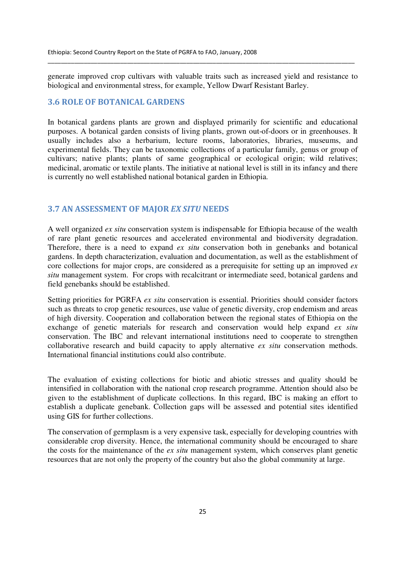generate improved crop cultivars with valuable traits such as increased yield and resistance to biological and environmental stress, for example, Yellow Dwarf Resistant Barley.

\_\_\_\_\_\_\_\_\_\_\_\_\_\_\_\_\_\_\_\_\_\_\_\_\_\_\_\_\_\_\_\_\_\_\_\_\_\_\_\_\_\_\_\_\_\_\_\_\_\_\_\_\_\_\_\_\_\_\_\_\_\_\_\_\_\_\_\_\_\_\_\_\_\_\_\_\_\_\_\_\_\_\_\_\_\_\_\_\_\_\_\_\_

## 3.6 ROLE OF BOTANICAL GARDENS

In botanical gardens plants are grown and displayed primarily for scientific and educational purposes. A botanical garden consists of living plants, grown out-of-doors or in greenhouses. It usually includes also a herbarium, lecture rooms, laboratories, libraries, museums, and experimental fields. They can be taxonomic collections of a particular family, genus or group of cultivars; native plants; plants of same geographical or ecological origin; wild relatives; medicinal, aromatic or textile plants. The initiative at national level is still in its infancy and there is currently no well established national botanical garden in Ethiopia.

### 3.7 AN ASSESSMENT OF MAJOR EX SITU NEEDS

A well organized *ex situ* conservation system is indispensable for Ethiopia because of the wealth of rare plant genetic resources and accelerated environmental and biodiversity degradation. Therefore, there is a need to expand *ex situ* conservation both in genebanks and botanical gardens. In depth characterization, evaluation and documentation, as well as the establishment of core collections for major crops, are considered as a prerequisite for setting up an improved *ex situ* management system. For crops with recalcitrant or intermediate seed, botanical gardens and field genebanks should be established.

Setting priorities for PGRFA *ex situ* conservation is essential. Priorities should consider factors such as threats to crop genetic resources, use value of genetic diversity, crop endemism and areas of high diversity. Cooperation and collaboration between the regional states of Ethiopia on the exchange of genetic materials for research and conservation would help expand *ex situ* conservation. The IBC and relevant international institutions need to cooperate to strengthen collaborative research and build capacity to apply alternative *ex situ* conservation methods. International financial institutions could also contribute.

The evaluation of existing collections for biotic and abiotic stresses and quality should be intensified in collaboration with the national crop research programme. Attention should also be given to the establishment of duplicate collections. In this regard, IBC is making an effort to establish a duplicate genebank. Collection gaps will be assessed and potential sites identified using GIS for further collections.

The conservation of germplasm is a very expensive task, especially for developing countries with considerable crop diversity. Hence, the international community should be encouraged to share the costs for the maintenance of the *ex situ* management system, which conserves plant genetic resources that are not only the property of the country but also the global community at large.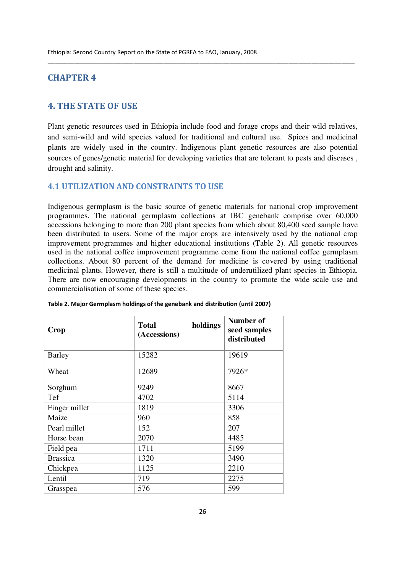## CHAPTER 4

## 4. THE STATE OF USE

Plant genetic resources used in Ethiopia include food and forage crops and their wild relatives, and semi-wild and wild species valued for traditional and cultural use. Spices and medicinal plants are widely used in the country. Indigenous plant genetic resources are also potential sources of genes/genetic material for developing varieties that are tolerant to pests and diseases , drought and salinity.

\_\_\_\_\_\_\_\_\_\_\_\_\_\_\_\_\_\_\_\_\_\_\_\_\_\_\_\_\_\_\_\_\_\_\_\_\_\_\_\_\_\_\_\_\_\_\_\_\_\_\_\_\_\_\_\_\_\_\_\_\_\_\_\_\_\_\_\_\_\_\_\_\_\_\_\_\_\_\_\_\_\_\_\_\_\_\_\_\_\_\_\_\_

## 4.1 UTILIZATION AND CONSTRAINTS TO USE

Indigenous germplasm is the basic source of genetic materials for national crop improvement programmes. The national germplasm collections at IBC genebank comprise over 60,000 accessions belonging to more than 200 plant species from which about 80,400 seed sample have been distributed to users. Some of the major crops are intensively used by the national crop improvement programmes and higher educational institutions (Table 2). All genetic resources used in the national coffee improvement programme come from the national coffee germplasm collections. About 80 percent of the demand for medicine is covered by using traditional medicinal plants. However, there is still a multitude of underutilized plant species in Ethiopia. There are now encouraging developments in the country to promote the wide scale use and commercialisation of some of these species.

| Crop            | holdings<br><b>Total</b><br>(Accessions) | Number of<br>seed samples<br>distributed |
|-----------------|------------------------------------------|------------------------------------------|
| <b>Barley</b>   | 15282                                    | 19619                                    |
| Wheat           | 12689                                    | 7926*                                    |
| Sorghum         | 9249                                     | 8667                                     |
| Tef             | 4702                                     | 5114                                     |
| Finger millet   | 1819                                     | 3306                                     |
| Maize           | 960                                      | 858                                      |
| Pearl millet    | 152                                      | 207                                      |
| Horse bean      | 2070                                     | 4485                                     |
| Field pea       | 1711                                     | 5199                                     |
| <b>Brassica</b> | 1320                                     | 3490                                     |
| Chickpea        | 1125                                     | 2210                                     |
| Lentil          | 719                                      | 2275                                     |
| Grasspea        | 576                                      | 599                                      |

| Table 2. Major Germplasm holdings of the genebank and distribution (until 2007) |  |
|---------------------------------------------------------------------------------|--|
|                                                                                 |  |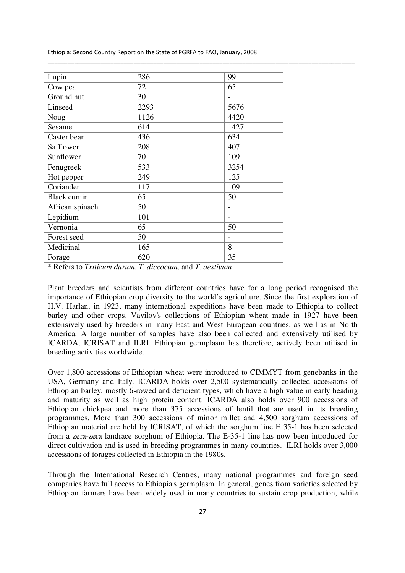\_\_\_\_\_\_\_\_\_\_\_\_\_\_\_\_\_\_\_\_\_\_\_\_\_\_\_\_\_\_\_\_\_\_\_\_\_\_\_\_\_\_\_\_\_\_\_\_\_\_\_\_\_\_\_\_\_\_\_\_\_\_\_\_\_\_\_\_\_\_\_\_\_\_\_\_\_\_\_\_\_\_\_\_\_\_\_\_\_\_\_\_\_

| Lupin              | 286  | 99   |
|--------------------|------|------|
| Cow pea            | 72   | 65   |
| Ground nut         | 30   |      |
| Linseed            | 2293 | 5676 |
| Noug               | 1126 | 4420 |
| Sesame             | 614  | 1427 |
| Caster bean        | 436  | 634  |
| Safflower          | 208  | 407  |
| Sunflower          | 70   | 109  |
| Fenugreek          | 533  | 3254 |
| Hot pepper         | 249  | 125  |
| Coriander          | 117  | 109  |
| <b>Black</b> cumin | 65   | 50   |
| African spinach    | 50   |      |
| Lepidium           | 101  | -    |
| Vernonia           | 65   | 50   |
| Forest seed        | 50   | -    |
| Medicinal          | 165  | 8    |
| Forage             | 620  | 35   |

\* Refers to *Triticum durum*, *T. diccocum*, and *T. aestivum*

Plant breeders and scientists from different countries have for a long period recognised the importance of Ethiopian crop diversity to the world's agriculture. Since the first exploration of H.V. Harlan, in 1923, many international expeditions have been made to Ethiopia to collect barley and other crops. Vavilov's collections of Ethiopian wheat made in 1927 have been extensively used by breeders in many East and West European countries, as well as in North America. A large number of samples have also been collected and extensively utilised by ICARDA, ICRISAT and ILRI. Ethiopian germplasm has therefore, actively been utilised in breeding activities worldwide.

Over 1,800 accessions of Ethiopian wheat were introduced to CIMMYT from genebanks in the USA, Germany and Italy. ICARDA holds over 2,500 systematically collected accessions of Ethiopian barley, mostly 6-rowed and deficient types, which have a high value in early heading and maturity as well as high protein content. ICARDA also holds over 900 accessions of Ethiopian chickpea and more than 375 accessions of lentil that are used in its breeding programmes. More than 300 accessions of minor millet and 4,500 sorghum accessions of Ethiopian material are held by ICRISAT, of which the sorghum line E 35-1 has been selected from a zera-zera landrace sorghum of Ethiopia. The E-35-1 line has now been introduced for direct cultivation and is used in breeding programmes in many countries. ILRI holds over 3,000 accessions of forages collected in Ethiopia in the 1980s.

Through the International Research Centres, many national programmes and foreign seed companies have full access to Ethiopia's germplasm. In general, genes from varieties selected by Ethiopian farmers have been widely used in many countries to sustain crop production, while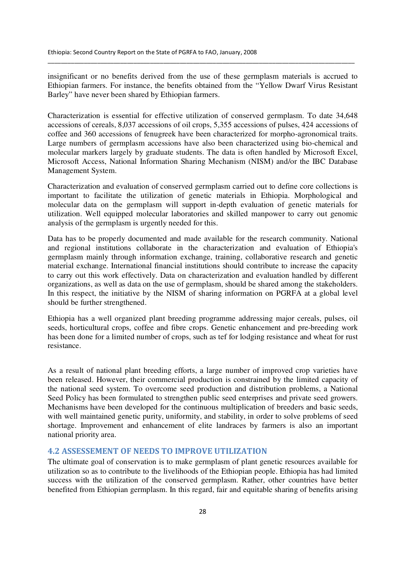insignificant or no benefits derived from the use of these germplasm materials is accrued to Ethiopian farmers. For instance, the benefits obtained from the "Yellow Dwarf Virus Resistant Barley" have never been shared by Ethiopian farmers.

\_\_\_\_\_\_\_\_\_\_\_\_\_\_\_\_\_\_\_\_\_\_\_\_\_\_\_\_\_\_\_\_\_\_\_\_\_\_\_\_\_\_\_\_\_\_\_\_\_\_\_\_\_\_\_\_\_\_\_\_\_\_\_\_\_\_\_\_\_\_\_\_\_\_\_\_\_\_\_\_\_\_\_\_\_\_\_\_\_\_\_\_\_

Characterization is essential for effective utilization of conserved germplasm. To date 34,648 accessions of cereals, 8,037 accessions of oil crops, 5,355 accessions of pulses, 424 accessions of coffee and 360 accessions of fenugreek have been characterized for morpho-agronomical traits. Large numbers of germplasm accessions have also been characterized using bio-chemical and molecular markers largely by graduate students. The data is often handled by Microsoft Excel, Microsoft Access, National Information Sharing Mechanism (NISM) and/or the IBC Database Management System.

Characterization and evaluation of conserved germplasm carried out to define core collections is important to facilitate the utilization of genetic materials in Ethiopia. Morphological and molecular data on the germplasm will support in-depth evaluation of genetic materials for utilization. Well equipped molecular laboratories and skilled manpower to carry out genomic analysis of the germplasm is urgently needed for this.

Data has to be properly documented and made available for the research community. National and regional institutions collaborate in the characterization and evaluation of Ethiopia's germplasm mainly through information exchange, training, collaborative research and genetic material exchange. International financial institutions should contribute to increase the capacity to carry out this work effectively. Data on characterization and evaluation handled by different organizations, as well as data on the use of germplasm, should be shared among the stakeholders. In this respect, the initiative by the NISM of sharing information on PGRFA at a global level should be further strengthened.

Ethiopia has a well organized plant breeding programme addressing major cereals, pulses, oil seeds, horticultural crops, coffee and fibre crops. Genetic enhancement and pre-breeding work has been done for a limited number of crops, such as tef for lodging resistance and wheat for rust resistance.

As a result of national plant breeding efforts, a large number of improved crop varieties have been released. However, their commercial production is constrained by the limited capacity of the national seed system. To overcome seed production and distribution problems, a National Seed Policy has been formulated to strengthen public seed enterprises and private seed growers. Mechanisms have been developed for the continuous multiplication of breeders and basic seeds, with well maintained genetic purity, uniformity, and stability, in order to solve problems of seed shortage. Improvement and enhancement of elite landraces by farmers is also an important national priority area.

## 4.2 ASSESSEMENT OF NEEDS TO IMPROVE UTILIZATION

The ultimate goal of conservation is to make germplasm of plant genetic resources available for utilization so as to contribute to the livelihoods of the Ethiopian people. Ethiopia has had limited success with the utilization of the conserved germplasm. Rather, other countries have better benefited from Ethiopian germplasm. In this regard, fair and equitable sharing of benefits arising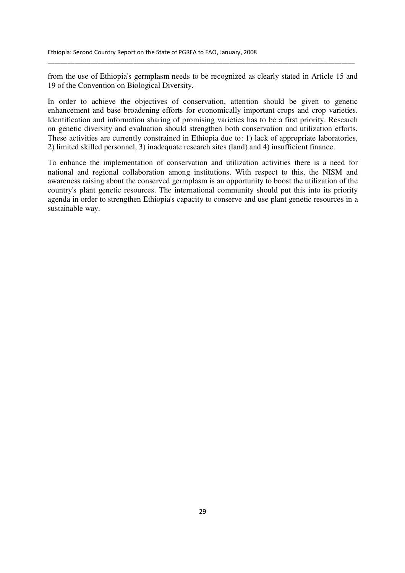from the use of Ethiopia's germplasm needs to be recognized as clearly stated in Article 15 and 19 of the Convention on Biological Diversity.

\_\_\_\_\_\_\_\_\_\_\_\_\_\_\_\_\_\_\_\_\_\_\_\_\_\_\_\_\_\_\_\_\_\_\_\_\_\_\_\_\_\_\_\_\_\_\_\_\_\_\_\_\_\_\_\_\_\_\_\_\_\_\_\_\_\_\_\_\_\_\_\_\_\_\_\_\_\_\_\_\_\_\_\_\_\_\_\_\_\_\_\_\_

In order to achieve the objectives of conservation, attention should be given to genetic enhancement and base broadening efforts for economically important crops and crop varieties. Identification and information sharing of promising varieties has to be a first priority. Research on genetic diversity and evaluation should strengthen both conservation and utilization efforts. These activities are currently constrained in Ethiopia due to: 1) lack of appropriate laboratories, 2) limited skilled personnel, 3) inadequate research sites (land) and 4) insufficient finance.

To enhance the implementation of conservation and utilization activities there is a need for national and regional collaboration among institutions. With respect to this, the NISM and awareness raising about the conserved germplasm is an opportunity to boost the utilization of the country's plant genetic resources. The international community should put this into its priority agenda in order to strengthen Ethiopia's capacity to conserve and use plant genetic resources in a sustainable way.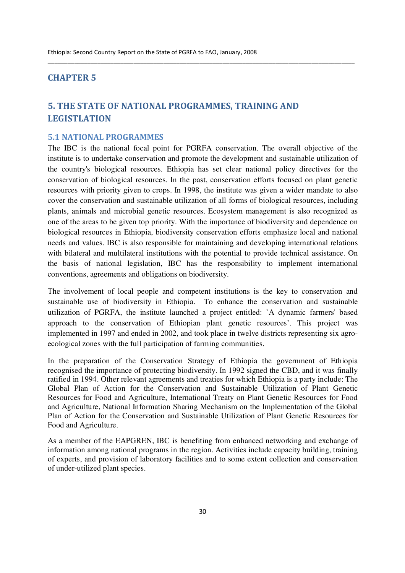## CHAPTER 5

## 5. THE STATE OF NATIONAL PROGRAMMES, TRAINING AND LEGISTLATION

## 5.1 NATIONAL PROGRAMMES

The IBC is the national focal point for PGRFA conservation. The overall objective of the institute is to undertake conservation and promote the development and sustainable utilization of the country's biological resources. Ethiopia has set clear national policy directives for the conservation of biological resources. In the past, conservation efforts focused on plant genetic resources with priority given to crops. In 1998, the institute was given a wider mandate to also cover the conservation and sustainable utilization of all forms of biological resources, including plants, animals and microbial genetic resources. Ecosystem management is also recognized as one of the areas to be given top priority. With the importance of biodiversity and dependence on biological resources in Ethiopia, biodiversity conservation efforts emphasize local and national needs and values. IBC is also responsible for maintaining and developing international relations with bilateral and multilateral institutions with the potential to provide technical assistance. On the basis of national legislation, IBC has the responsibility to implement international conventions, agreements and obligations on biodiversity.

\_\_\_\_\_\_\_\_\_\_\_\_\_\_\_\_\_\_\_\_\_\_\_\_\_\_\_\_\_\_\_\_\_\_\_\_\_\_\_\_\_\_\_\_\_\_\_\_\_\_\_\_\_\_\_\_\_\_\_\_\_\_\_\_\_\_\_\_\_\_\_\_\_\_\_\_\_\_\_\_\_\_\_\_\_\_\_\_\_\_\_\_\_

The involvement of local people and competent institutions is the key to conservation and sustainable use of biodiversity in Ethiopia. To enhance the conservation and sustainable utilization of PGRFA, the institute launched a project entitled: 'A dynamic farmers' based approach to the conservation of Ethiopian plant genetic resources'. This project was implemented in 1997 and ended in 2002, and took place in twelve districts representing six agroecological zones with the full participation of farming communities.

In the preparation of the Conservation Strategy of Ethiopia the government of Ethiopia recognised the importance of protecting biodiversity. In 1992 signed the CBD, and it was finally ratified in 1994. Other relevant agreements and treaties for which Ethiopia is a party include: The Global Plan of Action for the Conservation and Sustainable Utilization of Plant Genetic Resources for Food and Agriculture, International Treaty on Plant Genetic Resources for Food and Agriculture, National Information Sharing Mechanism on the Implementation of the Global Plan of Action for the Conservation and Sustainable Utilization of Plant Genetic Resources for Food and Agriculture.

As a member of the EAPGREN, IBC is benefiting from enhanced networking and exchange of information among national programs in the region. Activities include capacity building, training of experts, and provision of laboratory facilities and to some extent collection and conservation of under-utilized plant species.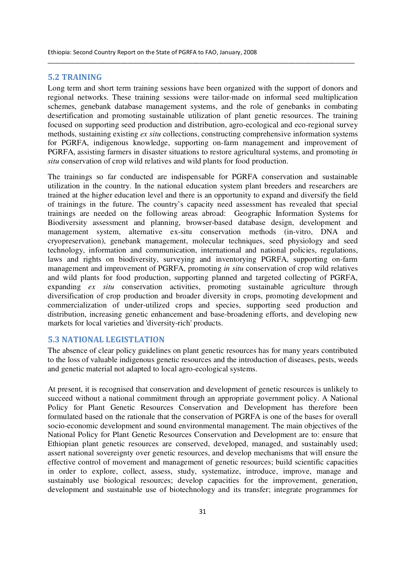#### 5.2 TRAINING

Long term and short term training sessions have been organized with the support of donors and regional networks. These training sessions were tailor-made on informal seed multiplication schemes, genebank database management systems, and the role of genebanks in combating desertification and promoting sustainable utilization of plant genetic resources. The training focused on supporting seed production and distribution, agro-ecological and eco-regional survey methods, sustaining existing *ex situ* collections, constructing comprehensive information systems for PGRFA, indigenous knowledge, supporting on-farm management and improvement of PGRFA, assisting farmers in disaster situations to restore agricultural systems, and promoting *in situ* conservation of crop wild relatives and wild plants for food production.

\_\_\_\_\_\_\_\_\_\_\_\_\_\_\_\_\_\_\_\_\_\_\_\_\_\_\_\_\_\_\_\_\_\_\_\_\_\_\_\_\_\_\_\_\_\_\_\_\_\_\_\_\_\_\_\_\_\_\_\_\_\_\_\_\_\_\_\_\_\_\_\_\_\_\_\_\_\_\_\_\_\_\_\_\_\_\_\_\_\_\_\_\_

The trainings so far conducted are indispensable for PGRFA conservation and sustainable utilization in the country. In the national education system plant breeders and researchers are trained at the higher education level and there is an opportunity to expand and diversify the field of trainings in the future. The country's capacity need assessment has revealed that special trainings are needed on the following areas abroad: Geographic Information Systems for Biodiversity assessment and planning, browser-based database design, development and management system, alternative ex-situ conservation methods (in-vitro, DNA and cryopreservation), genebank management, molecular techniques, seed physiology and seed technology, information and communication, international and national policies, regulations, laws and rights on biodiversity, surveying and inventorying PGRFA, supporting on-farm management and improvement of PGRFA, promoting *in situ* conservation of crop wild relatives and wild plants for food production, supporting planned and targeted collecting of PGRFA, expanding *ex situ* conservation activities, promoting sustainable agriculture through diversification of crop production and broader diversity in crops, promoting development and commercialization of under-utilized crops and species, supporting seed production and distribution, increasing genetic enhancement and base-broadening efforts, and developing new markets for local varieties and 'diversity-rich' products.

## 5.3 NATIONAL LEGISTLATION

The absence of clear policy guidelines on plant genetic resources has for many years contributed to the loss of valuable indigenous genetic resources and the introduction of diseases, pests, weeds and genetic material not adapted to local agro-ecological systems.

At present, it is recognised that conservation and development of genetic resources is unlikely to succeed without a national commitment through an appropriate government policy. A National Policy for Plant Genetic Resources Conservation and Development has therefore been formulated based on the rationale that the conservation of PGRFA is one of the bases for overall socio-economic development and sound environmental management. The main objectives of the National Policy for Plant Genetic Resources Conservation and Development are to: ensure that Ethiopian plant genetic resources are conserved, developed, managed, and sustainably used; assert national sovereignty over genetic resources, and develop mechanisms that will ensure the effective control of movement and management of genetic resources; build scientific capacities in order to explore, collect, assess, study, systematize, introduce, improve, manage and sustainably use biological resources; develop capacities for the improvement, generation, development and sustainable use of biotechnology and its transfer; integrate programmes for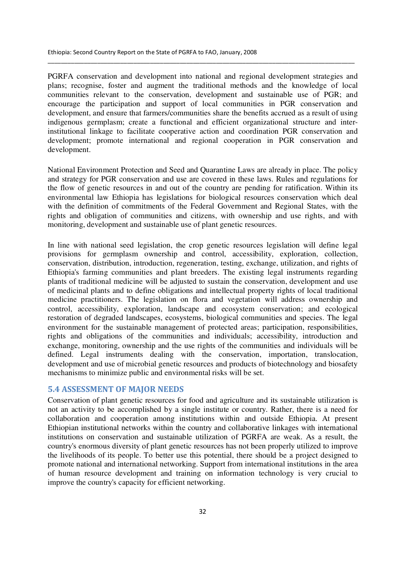PGRFA conservation and development into national and regional development strategies and plans; recognise, foster and augment the traditional methods and the knowledge of local communities relevant to the conservation, development and sustainable use of PGR; and encourage the participation and support of local communities in PGR conservation and development, and ensure that farmers/communities share the benefits accrued as a result of using indigenous germplasm; create a functional and efficient organizational structure and interinstitutional linkage to facilitate cooperative action and coordination PGR conservation and development; promote international and regional cooperation in PGR conservation and development.

\_\_\_\_\_\_\_\_\_\_\_\_\_\_\_\_\_\_\_\_\_\_\_\_\_\_\_\_\_\_\_\_\_\_\_\_\_\_\_\_\_\_\_\_\_\_\_\_\_\_\_\_\_\_\_\_\_\_\_\_\_\_\_\_\_\_\_\_\_\_\_\_\_\_\_\_\_\_\_\_\_\_\_\_\_\_\_\_\_\_\_\_\_

National Environment Protection and Seed and Quarantine Laws are already in place. The policy and strategy for PGR conservation and use are covered in these laws. Rules and regulations for the flow of genetic resources in and out of the country are pending for ratification. Within its environmental law Ethiopia has legislations for biological resources conservation which deal with the definition of commitments of the Federal Government and Regional States, with the rights and obligation of communities and citizens, with ownership and use rights, and with monitoring, development and sustainable use of plant genetic resources.

In line with national seed legislation, the crop genetic resources legislation will define legal provisions for germplasm ownership and control, accessibility, exploration, collection, conservation, distribution, introduction, regeneration, testing, exchange, utilization, and rights of Ethiopia's farming communities and plant breeders. The existing legal instruments regarding plants of traditional medicine will be adjusted to sustain the conservation, development and use of medicinal plants and to define obligations and intellectual property rights of local traditional medicine practitioners. The legislation on flora and vegetation will address ownership and control, accessibility, exploration, landscape and ecosystem conservation; and ecological restoration of degraded landscapes, ecosystems, biological communities and species. The legal environment for the sustainable management of protected areas; participation, responsibilities, rights and obligations of the communities and individuals; accessibility, introduction and exchange, monitoring, ownership and the use rights of the communities and individuals will be defined. Legal instruments dealing with the conservation, importation, translocation, development and use of microbial genetic resources and products of biotechnology and biosafety mechanisms to minimize public and environmental risks will be set.

#### 5.4 ASSESSMENT OF MAJOR NEEDS

Conservation of plant genetic resources for food and agriculture and its sustainable utilization is not an activity to be accomplished by a single institute or country. Rather, there is a need for collaboration and cooperation among institutions within and outside Ethiopia. At present Ethiopian institutional networks within the country and collaborative linkages with international institutions on conservation and sustainable utilization of PGRFA are weak. As a result, the country's enormous diversity of plant genetic resources has not been properly utilized to improve the livelihoods of its people. To better use this potential, there should be a project designed to promote national and international networking. Support from international institutions in the area of human resource development and training on information technology is very crucial to improve the country's capacity for efficient networking.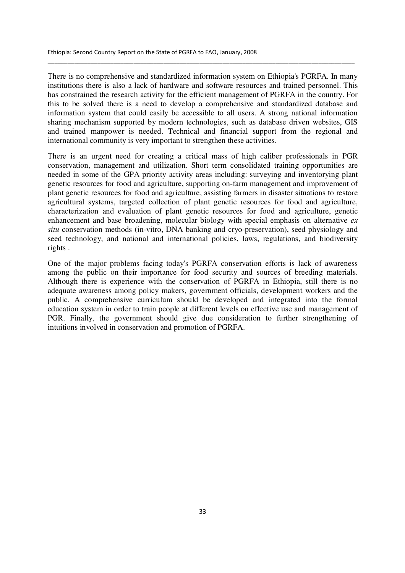There is no comprehensive and standardized information system on Ethiopia's PGRFA. In many institutions there is also a lack of hardware and software resources and trained personnel. This has constrained the research activity for the efficient management of PGRFA in the country. For this to be solved there is a need to develop a comprehensive and standardized database and information system that could easily be accessible to all users. A strong national information sharing mechanism supported by modern technologies, such as database driven websites, GIS and trained manpower is needed. Technical and financial support from the regional and international community is very important to strengthen these activities.

\_\_\_\_\_\_\_\_\_\_\_\_\_\_\_\_\_\_\_\_\_\_\_\_\_\_\_\_\_\_\_\_\_\_\_\_\_\_\_\_\_\_\_\_\_\_\_\_\_\_\_\_\_\_\_\_\_\_\_\_\_\_\_\_\_\_\_\_\_\_\_\_\_\_\_\_\_\_\_\_\_\_\_\_\_\_\_\_\_\_\_\_\_

There is an urgent need for creating a critical mass of high caliber professionals in PGR conservation, management and utilization. Short term consolidated training opportunities are needed in some of the GPA priority activity areas including: surveying and inventorying plant genetic resources for food and agriculture, supporting on-farm management and improvement of plant genetic resources for food and agriculture, assisting farmers in disaster situations to restore agricultural systems, targeted collection of plant genetic resources for food and agriculture, characterization and evaluation of plant genetic resources for food and agriculture, genetic enhancement and base broadening, molecular biology with special emphasis on alternative *ex situ* conservation methods (in-vitro, DNA banking and cryo-preservation), seed physiology and seed technology, and national and international policies, laws, regulations, and biodiversity rights .

One of the major problems facing today's PGRFA conservation efforts is lack of awareness among the public on their importance for food security and sources of breeding materials. Although there is experience with the conservation of PGRFA in Ethiopia, still there is no adequate awareness among policy makers, government officials, development workers and the public. A comprehensive curriculum should be developed and integrated into the formal education system in order to train people at different levels on effective use and management of PGR. Finally, the government should give due consideration to further strengthening of intuitions involved in conservation and promotion of PGRFA.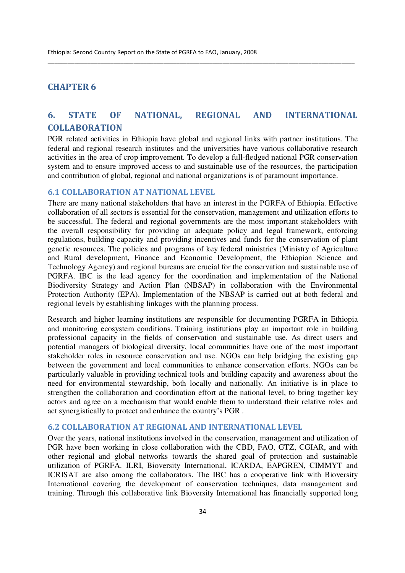## CHAPTER 6

## 6. STATE OF NATIONAL, REGIONAL AND INTERNATIONAL COLLABORATION

\_\_\_\_\_\_\_\_\_\_\_\_\_\_\_\_\_\_\_\_\_\_\_\_\_\_\_\_\_\_\_\_\_\_\_\_\_\_\_\_\_\_\_\_\_\_\_\_\_\_\_\_\_\_\_\_\_\_\_\_\_\_\_\_\_\_\_\_\_\_\_\_\_\_\_\_\_\_\_\_\_\_\_\_\_\_\_\_\_\_\_\_\_

PGR related activities in Ethiopia have global and regional links with partner institutions. The federal and regional research institutes and the universities have various collaborative research activities in the area of crop improvement. To develop a full-fledged national PGR conservation system and to ensure improved access to and sustainable use of the resources, the participation and contribution of global, regional and national organizations is of paramount importance.

## 6.1 COLLABORATION AT NATIONAL LEVEL

There are many national stakeholders that have an interest in the PGRFA of Ethiopia. Effective collaboration of all sectors is essential for the conservation, management and utilization efforts to be successful. The federal and regional governments are the most important stakeholders with the overall responsibility for providing an adequate policy and legal framework, enforcing regulations, building capacity and providing incentives and funds for the conservation of plant genetic resources. The policies and programs of key federal ministries (Ministry of Agriculture and Rural development, Finance and Economic Development, the Ethiopian Science and Technology Agency) and regional bureaus are crucial for the conservation and sustainable use of PGRFA. IBC is the lead agency for the coordination and implementation of the National Biodiversity Strategy and Action Plan (NBSAP) in collaboration with the Environmental Protection Authority (EPA). Implementation of the NBSAP is carried out at both federal and regional levels by establishing linkages with the planning process.

Research and higher learning institutions are responsible for documenting PGRFA in Ethiopia and monitoring ecosystem conditions. Training institutions play an important role in building professional capacity in the fields of conservation and sustainable use. As direct users and potential managers of biological diversity, local communities have one of the most important stakeholder roles in resource conservation and use. NGOs can help bridging the existing gap between the government and local communities to enhance conservation efforts. NGOs can be particularly valuable in providing technical tools and building capacity and awareness about the need for environmental stewardship, both locally and nationally. An initiative is in place to strengthen the collaboration and coordination effort at the national level, to bring together key actors and agree on a mechanism that would enable them to understand their relative roles and act synergistically to protect and enhance the country's PGR .

## 6.2 COLLABORATION AT REGIONAL AND INTERNATIONAL LEVEL

Over the years, national institutions involved in the conservation, management and utilization of PGR have been working in close collaboration with the CBD, FAO, GTZ, CGIAR, and with other regional and global networks towards the shared goal of protection and sustainable utilization of PGRFA. ILRI, Bioversity International, ICARDA, EAPGREN, CIMMYT and ICRISAT are also among the collaborators. The IBC has a cooperative link with Bioversity International covering the development of conservation techniques, data management and training. Through this collaborative link Bioversity International has financially supported long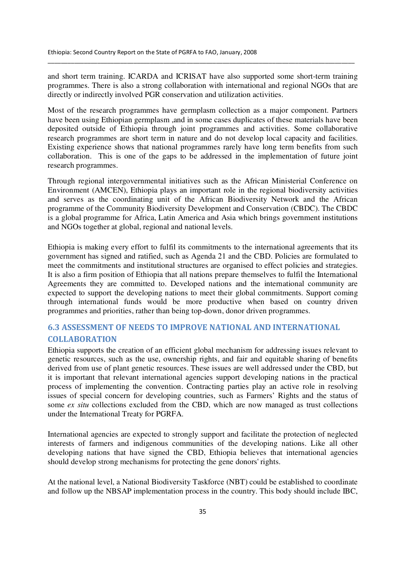and short term training. ICARDA and ICRISAT have also supported some short-term training programmes. There is also a strong collaboration with international and regional NGOs that are directly or indirectly involved PGR conservation and utilization activities.

\_\_\_\_\_\_\_\_\_\_\_\_\_\_\_\_\_\_\_\_\_\_\_\_\_\_\_\_\_\_\_\_\_\_\_\_\_\_\_\_\_\_\_\_\_\_\_\_\_\_\_\_\_\_\_\_\_\_\_\_\_\_\_\_\_\_\_\_\_\_\_\_\_\_\_\_\_\_\_\_\_\_\_\_\_\_\_\_\_\_\_\_\_

Most of the research programmes have germplasm collection as a major component. Partners have been using Ethiopian germplasm ,and in some cases duplicates of these materials have been deposited outside of Ethiopia through joint programmes and activities. Some collaborative research programmes are short term in nature and do not develop local capacity and facilities. Existing experience shows that national programmes rarely have long term benefits from such collaboration. This is one of the gaps to be addressed in the implementation of future joint research programmes.

Through regional intergovernmental initiatives such as the African Ministerial Conference on Environment (AMCEN), Ethiopia plays an important role in the regional biodiversity activities and serves as the coordinating unit of the African Biodiversity Network and the African programme of the Community Biodiversity Development and Conservation (CBDC). The CBDC is a global programme for Africa, Latin America and Asia which brings government institutions and NGOs together at global, regional and national levels.

Ethiopia is making every effort to fulfil its commitments to the international agreements that its government has signed and ratified, such as Agenda 21 and the CBD. Policies are formulated to meet the commitments and institutional structures are organised to effect policies and strategies. It is also a firm position of Ethiopia that all nations prepare themselves to fulfil the International Agreements they are committed to. Developed nations and the international community are expected to support the developing nations to meet their global commitments. Support coming through international funds would be more productive when based on country driven programmes and priorities, rather than being top-down, donor driven programmes.

## 6.3 ASSESSMENT OF NEEDS TO IMPROVE NATIONAL AND INTERNATIONAL **COLLABORATION**

Ethiopia supports the creation of an efficient global mechanism for addressing issues relevant to genetic resources, such as the use, ownership rights, and fair and equitable sharing of benefits derived from use of plant genetic resources. These issues are well addressed under the CBD, but it is important that relevant international agencies support developing nations in the practical process of implementing the convention. Contracting parties play an active role in resolving issues of special concern for developing countries, such as Farmers' Rights and the status of some *ex situ* collections excluded from the CBD, which are now managed as trust collections under the International Treaty for PGRFA.

International agencies are expected to strongly support and facilitate the protection of neglected interests of farmers and indigenous communities of the developing nations. Like all other developing nations that have signed the CBD, Ethiopia believes that international agencies should develop strong mechanisms for protecting the gene donors' rights.

At the national level, a National Biodiversity Taskforce (NBT) could be established to coordinate and follow up the NBSAP implementation process in the country. This body should include IBC,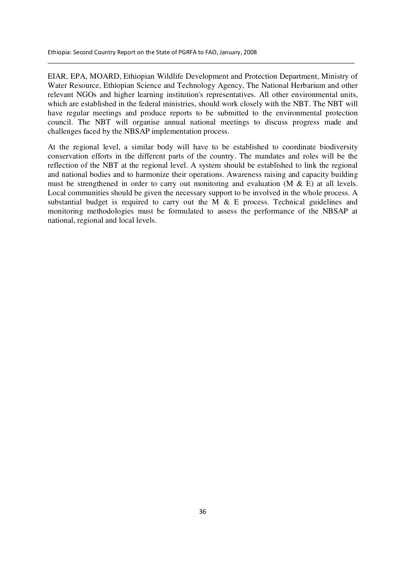EIAR, EPA, MOARD, Ethiopian Wildlife Development and Protection Department, Ministry of Water Resource, Ethiopian Science and Technology Agency, The National Herbarium and other relevant NGOs and higher learning institution's representatives. All other environmental units, which are established in the federal ministries, should work closely with the NBT. The NBT will have regular meetings and produce reports to be submitted to the environmental protection council. The NBT will organise annual national meetings to discuss progress made and challenges faced by the NBSAP implementation process.

\_\_\_\_\_\_\_\_\_\_\_\_\_\_\_\_\_\_\_\_\_\_\_\_\_\_\_\_\_\_\_\_\_\_\_\_\_\_\_\_\_\_\_\_\_\_\_\_\_\_\_\_\_\_\_\_\_\_\_\_\_\_\_\_\_\_\_\_\_\_\_\_\_\_\_\_\_\_\_\_\_\_\_\_\_\_\_\_\_\_\_\_\_

At the regional level, a similar body will have to be established to coordinate biodiversity conservation efforts in the different parts of the country. The mandates and roles will be the reflection of the NBT at the regional level. A system should be established to link the regional and national bodies and to harmonize their operations. Awareness raising and capacity building must be strengthened in order to carry out monitoring and evaluation  $(M \& E)$  at all levels. Local communities should be given the necessary support to be involved in the whole process. A substantial budget is required to carry out the M & E process. Technical guidelines and monitoring methodologies must be formulated to assess the performance of the NBSAP at national, regional and local levels.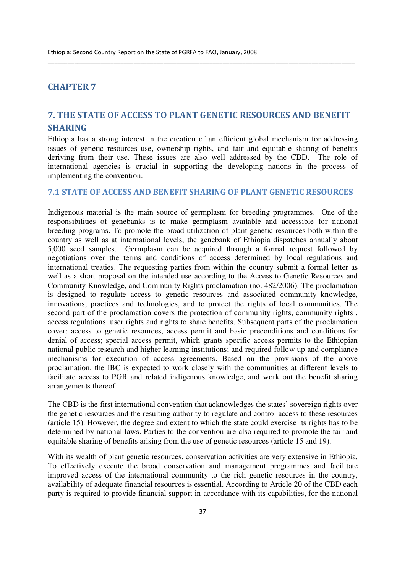## CHAPTER 7

## 7. THE STATE OF ACCESS TO PLANT GENETIC RESOURCES AND BENEFIT SHARING

\_\_\_\_\_\_\_\_\_\_\_\_\_\_\_\_\_\_\_\_\_\_\_\_\_\_\_\_\_\_\_\_\_\_\_\_\_\_\_\_\_\_\_\_\_\_\_\_\_\_\_\_\_\_\_\_\_\_\_\_\_\_\_\_\_\_\_\_\_\_\_\_\_\_\_\_\_\_\_\_\_\_\_\_\_\_\_\_\_\_\_\_\_

Ethiopia has a strong interest in the creation of an efficient global mechanism for addressing issues of genetic resources use, ownership rights, and fair and equitable sharing of benefits deriving from their use. These issues are also well addressed by the CBD. The role of international agencies is crucial in supporting the developing nations in the process of implementing the convention.

## 7.1 STATE OF ACCESS AND BENEFIT SHARING OF PLANT GENETIC RESOURCES

Indigenous material is the main source of germplasm for breeding programmes. One of the responsibilities of genebanks is to make germplasm available and accessible for national breeding programs. To promote the broad utilization of plant genetic resources both within the country as well as at international levels, the genebank of Ethiopia dispatches annually about 5,000 seed samples. Germplasm can be acquired through a formal request followed by negotiations over the terms and conditions of access determined by local regulations and international treaties. The requesting parties from within the country submit a formal letter as well as a short proposal on the intended use according to the Access to Genetic Resources and Community Knowledge, and Community Rights proclamation (no. 482/2006). The proclamation is designed to regulate access to genetic resources and associated community knowledge, innovations, practices and technologies, and to protect the rights of local communities. The second part of the proclamation covers the protection of community rights, community rights , access regulations, user rights and rights to share benefits. Subsequent parts of the proclamation cover: access to genetic resources, access permit and basic preconditions and conditions for denial of access; special access permit, which grants specific access permits to the Ethiopian national public research and higher learning institutions; and required follow up and compliance mechanisms for execution of access agreements. Based on the provisions of the above proclamation, the IBC is expected to work closely with the communities at different levels to facilitate access to PGR and related indigenous knowledge, and work out the benefit sharing arrangements thereof.

The CBD is the first international convention that acknowledges the states' sovereign rights over the genetic resources and the resulting authority to regulate and control access to these resources (article 15). However, the degree and extent to which the state could exercise its rights has to be determined by national laws. Parties to the convention are also required to promote the fair and equitable sharing of benefits arising from the use of genetic resources (article 15 and 19).

With its wealth of plant genetic resources, conservation activities are very extensive in Ethiopia. To effectively execute the broad conservation and management programmes and facilitate improved access of the international community to the rich genetic resources in the country, availability of adequate financial resources is essential. According to Article 20 of the CBD each party is required to provide financial support in accordance with its capabilities, for the national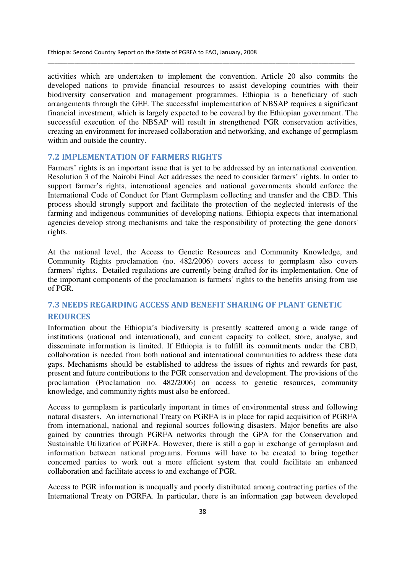activities which are undertaken to implement the convention. Article 20 also commits the developed nations to provide financial resources to assist developing countries with their biodiversity conservation and management programmes. Ethiopia is a beneficiary of such arrangements through the GEF. The successful implementation of NBSAP requires a significant financial investment, which is largely expected to be covered by the Ethiopian government. The successful execution of the NBSAP will result in strengthened PGR conservation activities, creating an environment for increased collaboration and networking, and exchange of germplasm within and outside the country.

\_\_\_\_\_\_\_\_\_\_\_\_\_\_\_\_\_\_\_\_\_\_\_\_\_\_\_\_\_\_\_\_\_\_\_\_\_\_\_\_\_\_\_\_\_\_\_\_\_\_\_\_\_\_\_\_\_\_\_\_\_\_\_\_\_\_\_\_\_\_\_\_\_\_\_\_\_\_\_\_\_\_\_\_\_\_\_\_\_\_\_\_\_

#### 7.2 IMPLEMENTATION OF FARMERS RIGHTS

Farmers' rights is an important issue that is yet to be addressed by an international convention. Resolution 3 of the Nairobi Final Act addresses the need to consider farmers' rights. In order to support farmer's rights, international agencies and national governments should enforce the International Code of Conduct for Plant Germplasm collecting and transfer and the CBD. This process should strongly support and facilitate the protection of the neglected interests of the farming and indigenous communities of developing nations. Ethiopia expects that international agencies develop strong mechanisms and take the responsibility of protecting the gene donors' rights.

At the national level, the Access to Genetic Resources and Community Knowledge, and Community Rights proclamation (no. 482/2006) covers access to germplasm also covers farmers' rights. Detailed regulations are currently being drafted for its implementation. One of the important components of the proclamation is farmers' rights to the benefits arising from use of PGR.

## 7.3 NEEDS REGARDING ACCESS AND BENEFIT SHARING OF PLANT GENETIC **REOURCES**

Information about the Ethiopia's biodiversity is presently scattered among a wide range of institutions (national and international), and current capacity to collect, store, analyse, and disseminate information is limited. If Ethiopia is to fulfill its commitments under the CBD, collaboration is needed from both national and international communities to address these data gaps. Mechanisms should be established to address the issues of rights and rewards for past, present and future contributions to the PGR conservation and development. The provisions of the proclamation (Proclamation no. 482/2006) on access to genetic resources, community knowledge, and community rights must also be enforced.

Access to germplasm is particularly important in times of environmental stress and following natural disasters. An international Treaty on PGRFA is in place for rapid acquisition of PGRFA from international, national and regional sources following disasters. Major benefits are also gained by countries through PGRFA networks through the GPA for the Conservation and Sustainable Utilization of PGRFA. However, there is still a gap in exchange of germplasm and information between national programs. Forums will have to be created to bring together concerned parties to work out a more efficient system that could facilitate an enhanced collaboration and facilitate access to and exchange of PGR.

Access to PGR information is unequally and poorly distributed among contracting parties of the International Treaty on PGRFA. In particular, there is an information gap between developed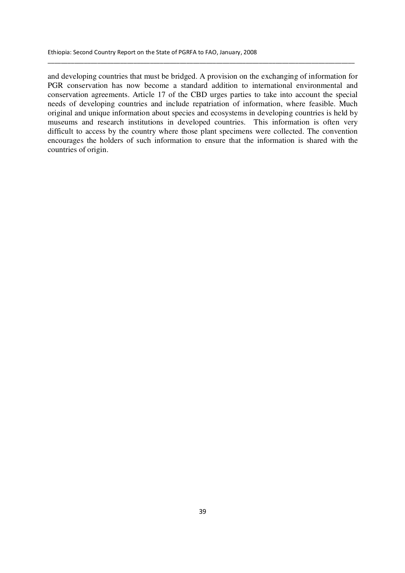and developing countries that must be bridged. A provision on the exchanging of information for PGR conservation has now become a standard addition to international environmental and conservation agreements. Article 17 of the CBD urges parties to take into account the special needs of developing countries and include repatriation of information, where feasible. Much original and unique information about species and ecosystems in developing countries is held by museums and research institutions in developed countries. This information is often very difficult to access by the country where those plant specimens were collected. The convention encourages the holders of such information to ensure that the information is shared with the countries of origin.

\_\_\_\_\_\_\_\_\_\_\_\_\_\_\_\_\_\_\_\_\_\_\_\_\_\_\_\_\_\_\_\_\_\_\_\_\_\_\_\_\_\_\_\_\_\_\_\_\_\_\_\_\_\_\_\_\_\_\_\_\_\_\_\_\_\_\_\_\_\_\_\_\_\_\_\_\_\_\_\_\_\_\_\_\_\_\_\_\_\_\_\_\_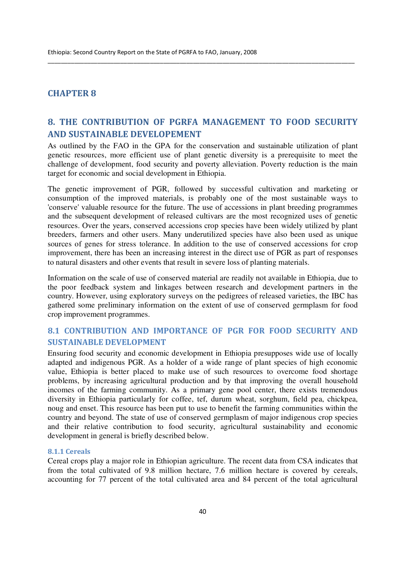## CHAPTER 8

## 8. THE CONTRIBUTION OF PGRFA MANAGEMENT TO FOOD SECURITY AND SUSTAINABLE DEVELOPEMENT

\_\_\_\_\_\_\_\_\_\_\_\_\_\_\_\_\_\_\_\_\_\_\_\_\_\_\_\_\_\_\_\_\_\_\_\_\_\_\_\_\_\_\_\_\_\_\_\_\_\_\_\_\_\_\_\_\_\_\_\_\_\_\_\_\_\_\_\_\_\_\_\_\_\_\_\_\_\_\_\_\_\_\_\_\_\_\_\_\_\_\_\_\_

As outlined by the FAO in the GPA for the conservation and sustainable utilization of plant genetic resources, more efficient use of plant genetic diversity is a prerequisite to meet the challenge of development, food security and poverty alleviation. Poverty reduction is the main target for economic and social development in Ethiopia.

The genetic improvement of PGR, followed by successful cultivation and marketing or consumption of the improved materials, is probably one of the most sustainable ways to 'conserve' valuable resource for the future. The use of accessions in plant breeding programmes and the subsequent development of released cultivars are the most recognized uses of genetic resources. Over the years, conserved accessions crop species have been widely utilized by plant breeders, farmers and other users. Many underutilized species have also been used as unique sources of genes for stress tolerance. In addition to the use of conserved accessions for crop improvement, there has been an increasing interest in the direct use of PGR as part of responses to natural disasters and other events that result in severe loss of planting materials.

Information on the scale of use of conserved material are readily not available in Ethiopia, due to the poor feedback system and linkages between research and development partners in the country. However, using exploratory surveys on the pedigrees of released varieties, the IBC has gathered some preliminary information on the extent of use of conserved germplasm for food crop improvement programmes.

## 8.1 CONTRIBUTION AND IMPORTANCE OF PGR FOR FOOD SECURITY AND SUSTAINABLE DEVELOPMENT

Ensuring food security and economic development in Ethiopia presupposes wide use of locally adapted and indigenous PGR. As a holder of a wide range of plant species of high economic value, Ethiopia is better placed to make use of such resources to overcome food shortage problems, by increasing agricultural production and by that improving the overall household incomes of the farming community. As a primary gene pool center, there exists tremendous diversity in Ethiopia particularly for coffee, tef, durum wheat, sorghum, field pea, chickpea, noug and enset. This resource has been put to use to benefit the farming communities within the country and beyond. The state of use of conserved germplasm of major indigenous crop species and their relative contribution to food security, agricultural sustainability and economic development in general is briefly described below.

#### 8.1.1 Cereals

Cereal crops play a major role in Ethiopian agriculture. The recent data from CSA indicates that from the total cultivated of 9.8 million hectare, 7.6 million hectare is covered by cereals, accounting for 77 percent of the total cultivated area and 84 percent of the total agricultural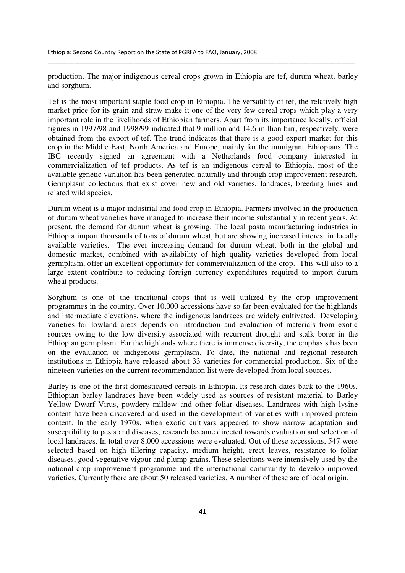production. The major indigenous cereal crops grown in Ethiopia are tef, durum wheat, barley and sorghum.

\_\_\_\_\_\_\_\_\_\_\_\_\_\_\_\_\_\_\_\_\_\_\_\_\_\_\_\_\_\_\_\_\_\_\_\_\_\_\_\_\_\_\_\_\_\_\_\_\_\_\_\_\_\_\_\_\_\_\_\_\_\_\_\_\_\_\_\_\_\_\_\_\_\_\_\_\_\_\_\_\_\_\_\_\_\_\_\_\_\_\_\_\_

Tef is the most important staple food crop in Ethiopia. The versatility of tef, the relatively high market price for its grain and straw make it one of the very few cereal crops which play a very important role in the livelihoods of Ethiopian farmers. Apart from its importance locally, official figures in 1997/98 and 1998/99 indicated that 9 million and 14.6 million birr, respectively, were obtained from the export of tef. The trend indicates that there is a good export market for this crop in the Middle East, North America and Europe, mainly for the immigrant Ethiopians. The IBC recently signed an agreement with a Netherlands food company interested in commercialization of tef products. As tef is an indigenous cereal to Ethiopia, most of the available genetic variation has been generated naturally and through crop improvement research. Germplasm collections that exist cover new and old varieties, landraces, breeding lines and related wild species.

Durum wheat is a major industrial and food crop in Ethiopia. Farmers involved in the production of durum wheat varieties have managed to increase their income substantially in recent years. At present, the demand for durum wheat is growing. The local pasta manufacturing industries in Ethiopia import thousands of tons of durum wheat, but are showing increased interest in locally available varieties. The ever increasing demand for durum wheat, both in the global and domestic market, combined with availability of high quality varieties developed from local germplasm, offer an excellent opportunity for commercialization of the crop. This will also to a large extent contribute to reducing foreign currency expenditures required to import durum wheat products.

Sorghum is one of the traditional crops that is well utilized by the crop improvement programmes in the country. Over 10,000 accessions have so far been evaluated for the highlands and intermediate elevations, where the indigenous landraces are widely cultivated. Developing varieties for lowland areas depends on introduction and evaluation of materials from exotic sources owing to the low diversity associated with recurrent drought and stalk borer in the Ethiopian germplasm. For the highlands where there is immense diversity, the emphasis has been on the evaluation of indigenous germplasm. To date, the national and regional research institutions in Ethiopia have released about 33 varieties for commercial production. Six of the nineteen varieties on the current recommendation list were developed from local sources.

Barley is one of the first domesticated cereals in Ethiopia. Its research dates back to the 1960s. Ethiopian barley landraces have been widely used as sources of resistant material to Barley Yellow Dwarf Virus, powdery mildew and other foliar diseases. Landraces with high lysine content have been discovered and used in the development of varieties with improved protein content. In the early 1970s, when exotic cultivars appeared to show narrow adaptation and susceptibility to pests and diseases, research became directed towards evaluation and selection of local landraces. In total over 8,000 accessions were evaluated. Out of these accessions, 547 were selected based on high tillering capacity, medium height, erect leaves, resistance to foliar diseases, good vegetative vigour and plump grains. These selections were intensively used by the national crop improvement programme and the international community to develop improved varieties. Currently there are about 50 released varieties. A number of these are of local origin.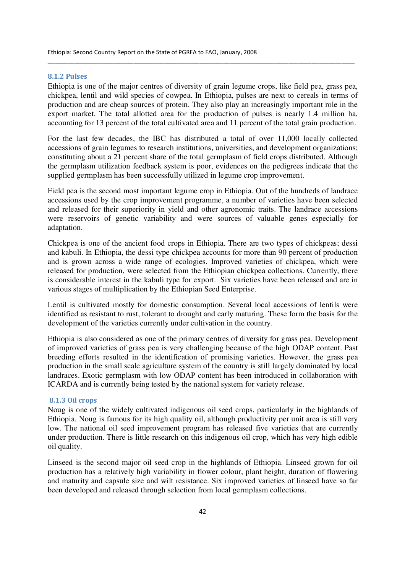#### 8.1.2 Pulses

Ethiopia is one of the major centres of diversity of grain legume crops, like field pea, grass pea, chickpea, lentil and wild species of cowpea. In Ethiopia, pulses are next to cereals in terms of production and are cheap sources of protein. They also play an increasingly important role in the export market. The total allotted area for the production of pulses is nearly 1.4 million ha, accounting for 13 percent of the total cultivated area and 11 percent of the total grain production.

\_\_\_\_\_\_\_\_\_\_\_\_\_\_\_\_\_\_\_\_\_\_\_\_\_\_\_\_\_\_\_\_\_\_\_\_\_\_\_\_\_\_\_\_\_\_\_\_\_\_\_\_\_\_\_\_\_\_\_\_\_\_\_\_\_\_\_\_\_\_\_\_\_\_\_\_\_\_\_\_\_\_\_\_\_\_\_\_\_\_\_\_\_

For the last few decades, the IBC has distributed a total of over 11,000 locally collected accessions of grain legumes to research institutions, universities, and development organizations; constituting about a 21 percent share of the total germplasm of field crops distributed. Although the germplasm utilization feedback system is poor, evidences on the pedigrees indicate that the supplied germplasm has been successfully utilized in legume crop improvement.

Field pea is the second most important legume crop in Ethiopia. Out of the hundreds of landrace accessions used by the crop improvement programme, a number of varieties have been selected and released for their superiority in yield and other agronomic traits. The landrace accessions were reservoirs of genetic variability and were sources of valuable genes especially for adaptation.

Chickpea is one of the ancient food crops in Ethiopia. There are two types of chickpeas; dessi and kabuli. In Ethiopia, the dessi type chickpea accounts for more than 90 percent of production and is grown across a wide range of ecologies. Improved varieties of chickpea, which were released for production, were selected from the Ethiopian chickpea collections. Currently, there is considerable interest in the kabuli type for export. Six varieties have been released and are in various stages of multiplication by the Ethiopian Seed Enterprise.

Lentil is cultivated mostly for domestic consumption. Several local accessions of lentils were identified as resistant to rust, tolerant to drought and early maturing. These form the basis for the development of the varieties currently under cultivation in the country.

Ethiopia is also considered as one of the primary centres of diversity for grass pea. Development of improved varieties of grass pea is very challenging because of the high ODAP content. Past breeding efforts resulted in the identification of promising varieties. However, the grass pea production in the small scale agriculture system of the country is still largely dominated by local landraces. Exotic germplasm with low ODAP content has been introduced in collaboration with ICARDA and is currently being tested by the national system for variety release.

### 8.1.3 Oil crops

Noug is one of the widely cultivated indigenous oil seed crops, particularly in the highlands of Ethiopia. Noug is famous for its high quality oil, although productivity per unit area is still very low. The national oil seed improvement program has released five varieties that are currently under production. There is little research on this indigenous oil crop, which has very high edible oil quality.

Linseed is the second major oil seed crop in the highlands of Ethiopia. Linseed grown for oil production has a relatively high variability in flower colour, plant height, duration of flowering and maturity and capsule size and wilt resistance. Six improved varieties of linseed have so far been developed and released through selection from local germplasm collections.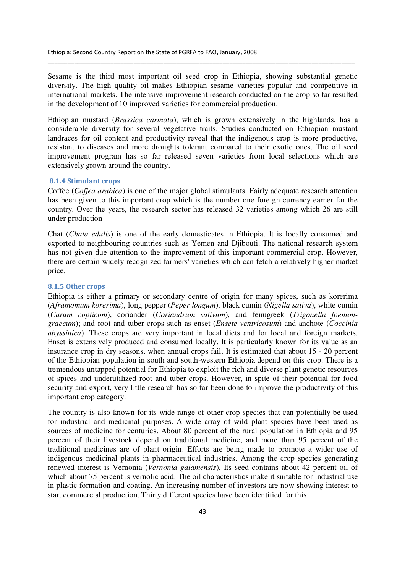Sesame is the third most important oil seed crop in Ethiopia, showing substantial genetic diversity. The high quality oil makes Ethiopian sesame varieties popular and competitive in international markets. The intensive improvement research conducted on the crop so far resulted in the development of 10 improved varieties for commercial production.

\_\_\_\_\_\_\_\_\_\_\_\_\_\_\_\_\_\_\_\_\_\_\_\_\_\_\_\_\_\_\_\_\_\_\_\_\_\_\_\_\_\_\_\_\_\_\_\_\_\_\_\_\_\_\_\_\_\_\_\_\_\_\_\_\_\_\_\_\_\_\_\_\_\_\_\_\_\_\_\_\_\_\_\_\_\_\_\_\_\_\_\_\_

Ethiopian mustard (*Brassica carinata*), which is grown extensively in the highlands, has a considerable diversity for several vegetative traits. Studies conducted on Ethiopian mustard landraces for oil content and productivity reveal that the indigenous crop is more productive, resistant to diseases and more droughts tolerant compared to their exotic ones. The oil seed improvement program has so far released seven varieties from local selections which are extensively grown around the country.

#### 8.1.4 Stimulant crops

Coffee (*Coffea arabica*) is one of the major global stimulants. Fairly adequate research attention has been given to this important crop which is the number one foreign currency earner for the country. Over the years, the research sector has released 32 varieties among which 26 are still under production

Chat (*Chata edulis*) is one of the early domesticates in Ethiopia. It is locally consumed and exported to neighbouring countries such as Yemen and Djibouti. The national research system has not given due attention to the improvement of this important commercial crop. However, there are certain widely recognized farmers' varieties which can fetch a relatively higher market price.

#### 8.1.5 Other crops

Ethiopia is either a primary or secondary centre of origin for many spices, such as korerima (*Aframomum korerima*), long pepper (*Peper longum*), black cumin (*Nigella sativa*), white cumin (*Carum copticom*), coriander (*Coriandrum sativum*), and fenugreek (*Trigonella foenumgraecum*); and root and tuber crops such as enset (*Ensete ventricosum*) and anchote (*Coccinia abyssinica*). These crops are very important in local diets and for local and foreign markets. Enset is extensively produced and consumed locally. It is particularly known for its value as an insurance crop in dry seasons, when annual crops fail. It is estimated that about 15 - 20 percent of the Ethiopian population in south and south-western Ethiopia depend on this crop. There is a tremendous untapped potential for Ethiopia to exploit the rich and diverse plant genetic resources of spices and underutilized root and tuber crops. However, in spite of their potential for food security and export, very little research has so far been done to improve the productivity of this important crop category.

The country is also known for its wide range of other crop species that can potentially be used for industrial and medicinal purposes. A wide array of wild plant species have been used as sources of medicine for centuries. About 80 percent of the rural population in Ethiopia and 95 percent of their livestock depend on traditional medicine, and more than 95 percent of the traditional medicines are of plant origin. Efforts are being made to promote a wider use of indigenous medicinal plants in pharmaceutical industries. Among the crop species generating renewed interest is Vernonia (*Vernonia galamensis*). Its seed contains about 42 percent oil of which about 75 percent is vernolic acid. The oil characteristics make it suitable for industrial use in plastic formation and coating. An increasing number of investors are now showing interest to start commercial production. Thirty different species have been identified for this.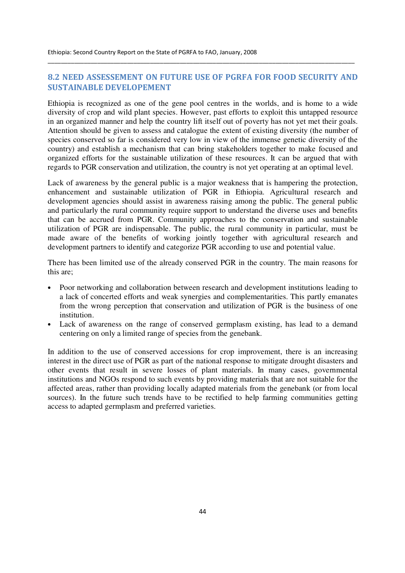## 8.2 NEED ASSESSEMENT ON FUTURE USE OF PGRFA FOR FOOD SECURITY AND SUSTAINABLE DEVELOPEMENT

\_\_\_\_\_\_\_\_\_\_\_\_\_\_\_\_\_\_\_\_\_\_\_\_\_\_\_\_\_\_\_\_\_\_\_\_\_\_\_\_\_\_\_\_\_\_\_\_\_\_\_\_\_\_\_\_\_\_\_\_\_\_\_\_\_\_\_\_\_\_\_\_\_\_\_\_\_\_\_\_\_\_\_\_\_\_\_\_\_\_\_\_\_

Ethiopia is recognized as one of the gene pool centres in the worlds, and is home to a wide diversity of crop and wild plant species. However, past efforts to exploit this untapped resource in an organized manner and help the country lift itself out of poverty has not yet met their goals. Attention should be given to assess and catalogue the extent of existing diversity (the number of species conserved so far is considered very low in view of the immense genetic diversity of the country) and establish a mechanism that can bring stakeholders together to make focused and organized efforts for the sustainable utilization of these resources. It can be argued that with regards to PGR conservation and utilization, the country is not yet operating at an optimal level.

Lack of awareness by the general public is a major weakness that is hampering the protection, enhancement and sustainable utilization of PGR in Ethiopia. Agricultural research and development agencies should assist in awareness raising among the public. The general public and particularly the rural community require support to understand the diverse uses and benefits that can be accrued from PGR. Community approaches to the conservation and sustainable utilization of PGR are indispensable. The public, the rural community in particular, must be made aware of the benefits of working jointly together with agricultural research and development partners to identify and categorize PGR according to use and potential value.

There has been limited use of the already conserved PGR in the country. The main reasons for this are;

- Poor networking and collaboration between research and development institutions leading to a lack of concerted efforts and weak synergies and complementarities. This partly emanates from the wrong perception that conservation and utilization of PGR is the business of one institution.
- Lack of awareness on the range of conserved germplasm existing, has lead to a demand centering on only a limited range of species from the genebank.

In addition to the use of conserved accessions for crop improvement, there is an increasing interest in the direct use of PGR as part of the national response to mitigate drought disasters and other events that result in severe losses of plant materials. In many cases, governmental institutions and NGOs respond to such events by providing materials that are not suitable for the affected areas, rather than providing locally adapted materials from the genebank (or from local sources). In the future such trends have to be rectified to help farming communities getting access to adapted germplasm and preferred varieties.